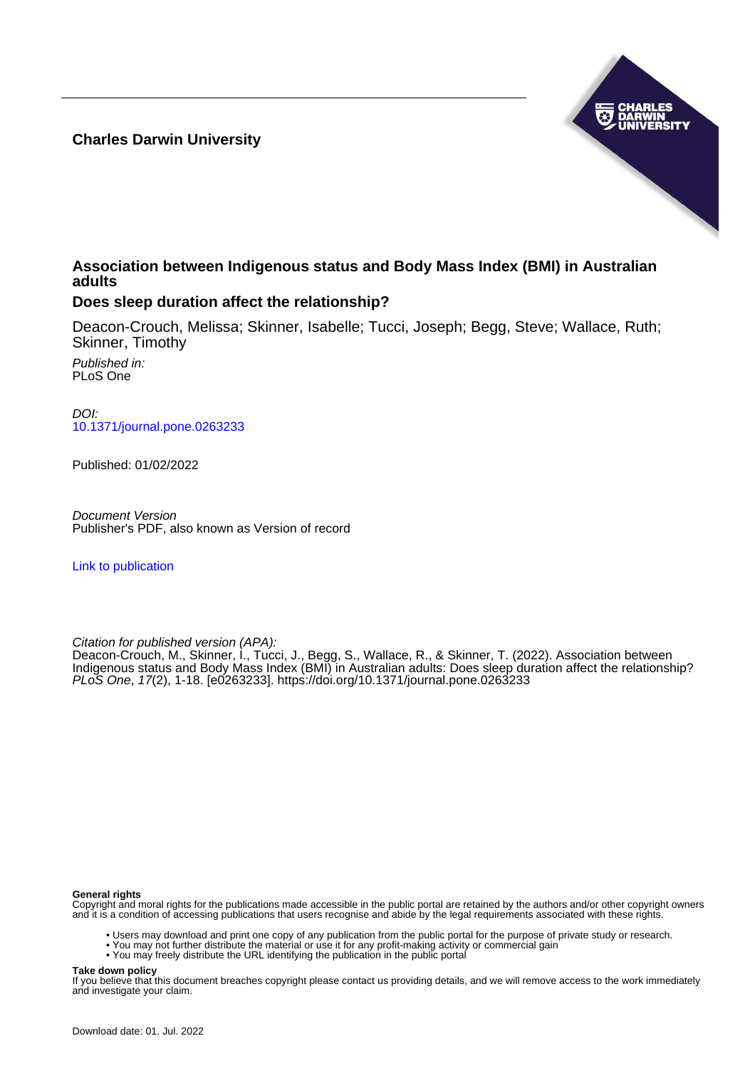**Charles Darwin University**



## **Association between Indigenous status and Body Mass Index (BMI) in Australian adults**

## **Does sleep duration affect the relationship?**

Deacon-Crouch, Melissa; Skinner, Isabelle; Tucci, Joseph; Begg, Steve; Wallace, Ruth; Skinner, Timothy

Published in: PLoS One

DOI: [10.1371/journal.pone.0263233](https://doi.org/10.1371/journal.pone.0263233)

Published: 01/02/2022

Document Version Publisher's PDF, also known as Version of record

[Link to publication](https://researchers.cdu.edu.au/en/publications/bb623483-3f53-4288-a325-58228b7f71ba)

Citation for published version (APA):

Deacon-Crouch, M., Skinner, I., Tucci, J., Begg, S., Wallace, R., & Skinner, T. (2022). Association between Indigenous status and Body Mass Index (BMI) in Australian adults: Does sleep duration affect the relationship? PLoS One, 17(2), 1-18. [e0263233]. <https://doi.org/10.1371/journal.pone.0263233>

#### **General rights**

Copyright and moral rights for the publications made accessible in the public portal are retained by the authors and/or other copyright owners and it is a condition of accessing publications that users recognise and abide by the legal requirements associated with these rights.

- Users may download and print one copy of any publication from the public portal for the purpose of private study or research.
- You may not further distribute the material or use it for any profit-making activity or commercial gain
- You may freely distribute the URL identifying the publication in the public portal

#### **Take down policy**

If you believe that this document breaches copyright please contact us providing details, and we will remove access to the work immediately and investigate your claim.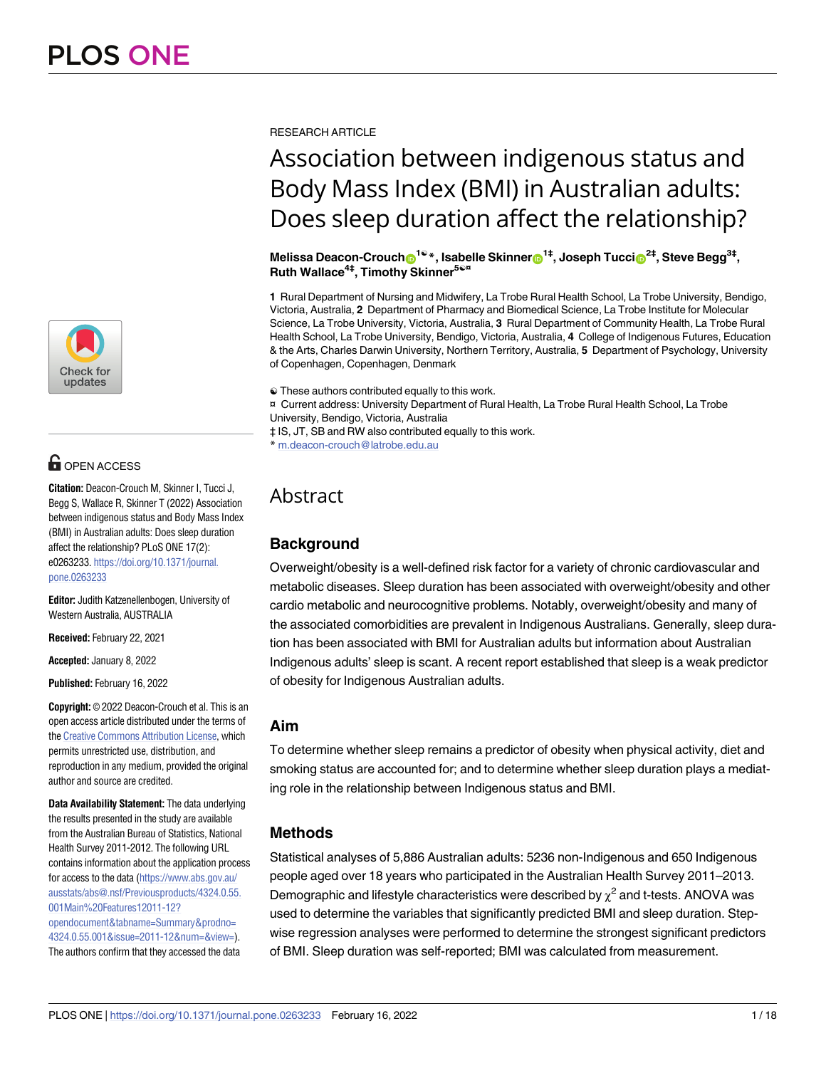

## **OPEN ACCESS**

**Citation:** Deacon-Crouch M, Skinner I, Tucci J, Begg S, Wallace R, Skinner T (2022) Association between indigenous status and Body Mass Index (BMI) in Australian adults: Does sleep duration affect the relationship? PLoS ONE 17(2): e0263233. [https://doi.org/10.1371/journal.](https://doi.org/10.1371/journal.pone.0263233) [pone.0263233](https://doi.org/10.1371/journal.pone.0263233)

**Editor:** Judith Katzenellenbogen, University of Western Australia, AUSTRALIA

**Received:** February 22, 2021

**Accepted:** January 8, 2022

**Published:** February 16, 2022

**Copyright:** © 2022 Deacon-Crouch et al. This is an open access article distributed under the terms of the Creative [Commons](http://creativecommons.org/licenses/by/4.0/) Attribution License, which permits unrestricted use, distribution, and reproduction in any medium, provided the original author and source are credited.

**Data Availability Statement:** The data underlying the results presented in the study are available from the Australian Bureau of Statistics, National Health Survey 2011-2012. The following URL contains information about the application process for access to the data [\(https://www.abs.gov.au/](https://www.abs.gov.au/ausstats/abs@.nsf/Previousproducts/4324.0.55.001Main%20Features12011-12?opendocument&tabname=Summary&prodno=4324.0.55.001&issue=2011-12&num=&view=) [ausstats/abs@.nsf/Previousproducts/4324.0.55.](https://www.abs.gov.au/ausstats/abs@.nsf/Previousproducts/4324.0.55.001Main%20Features12011-12?opendocument&tabname=Summary&prodno=4324.0.55.001&issue=2011-12&num=&view=) [001Main%20Features12011-12?](https://www.abs.gov.au/ausstats/abs@.nsf/Previousproducts/4324.0.55.001Main%20Features12011-12?opendocument&tabname=Summary&prodno=4324.0.55.001&issue=2011-12&num=&view=) [opendocument&tabname=Summary&prodno=](https://www.abs.gov.au/ausstats/abs@.nsf/Previousproducts/4324.0.55.001Main%20Features12011-12?opendocument&tabname=Summary&prodno=4324.0.55.001&issue=2011-12&num=&view=) [4324.0.55.001&issue=2011-12&num=&view=\)](https://www.abs.gov.au/ausstats/abs@.nsf/Previousproducts/4324.0.55.001Main%20Features12011-12?opendocument&tabname=Summary&prodno=4324.0.55.001&issue=2011-12&num=&view=). The authors confirm that they accessed the data

RESEARCH ARTICLE

# Association between indigenous status and Body Mass Index (BMI) in Australian adults: Does sleep duration affect the relationship?

**Melissa Deacon-Crouch**<sup>10</sup><sup>\*</sup>, Isabelle Skinner<sup>1‡</sup>, Joseph Tucci<sup>2‡</sup>, Steve Begg<sup>3‡</sup>, **Ruth Wallace4‡, Timothy Skinner5**☯**¤**

**1** Rural Department of Nursing and Midwifery, La Trobe Rural Health School, La Trobe University, Bendigo, Victoria, Australia, **2** Department of Pharmacy and Biomedical Science, La Trobe Institute for Molecular Science, La Trobe University, Victoria, Australia, **3** Rural Department of Community Health, La Trobe Rural Health School, La Trobe University, Bendigo, Victoria, Australia, **4** College of Indigenous Futures, Education & the Arts, Charles Darwin University, Northern Territory, Australia, **5** Department of Psychology, University of Copenhagen, Copenhagen, Denmark

☯ These authors contributed equally to this work.

¤ Current address: University Department of Rural Health, La Trobe Rural Health School, La Trobe University, Bendigo, Victoria, Australia

‡ IS, JT, SB and RW also contributed equally to this work.

\* m.deacon-crouch@latrobe.edu.au

## Abstract

## **Background**

Overweight/obesity is a well-defined risk factor for a variety of chronic cardiovascular and metabolic diseases. Sleep duration has been associated with overweight/obesity and other cardio metabolic and neurocognitive problems. Notably, overweight/obesity and many of the associated comorbidities are prevalent in Indigenous Australians. Generally, sleep duration has been associated with BMI for Australian adults but information about Australian Indigenous adults' sleep is scant. A recent report established that sleep is a weak predictor of obesity for Indigenous Australian adults.

## **Aim**

To determine whether sleep remains a predictor of obesity when physical activity, diet and smoking status are accounted for; and to determine whether sleep duration plays a mediating role in the relationship between Indigenous status and BMI.

## **Methods**

Statistical analyses of 5,886 Australian adults: 5236 non-Indigenous and 650 Indigenous people aged over 18 years who participated in the Australian Health Survey 2011–2013. Demographic and lifestyle characteristics were described by  $\chi^2$  and t-tests. ANOVA was used to determine the variables that significantly predicted BMI and sleep duration. Stepwise regression analyses were performed to determine the strongest significant predictors of BMI. Sleep duration was self-reported; BMI was calculated from measurement.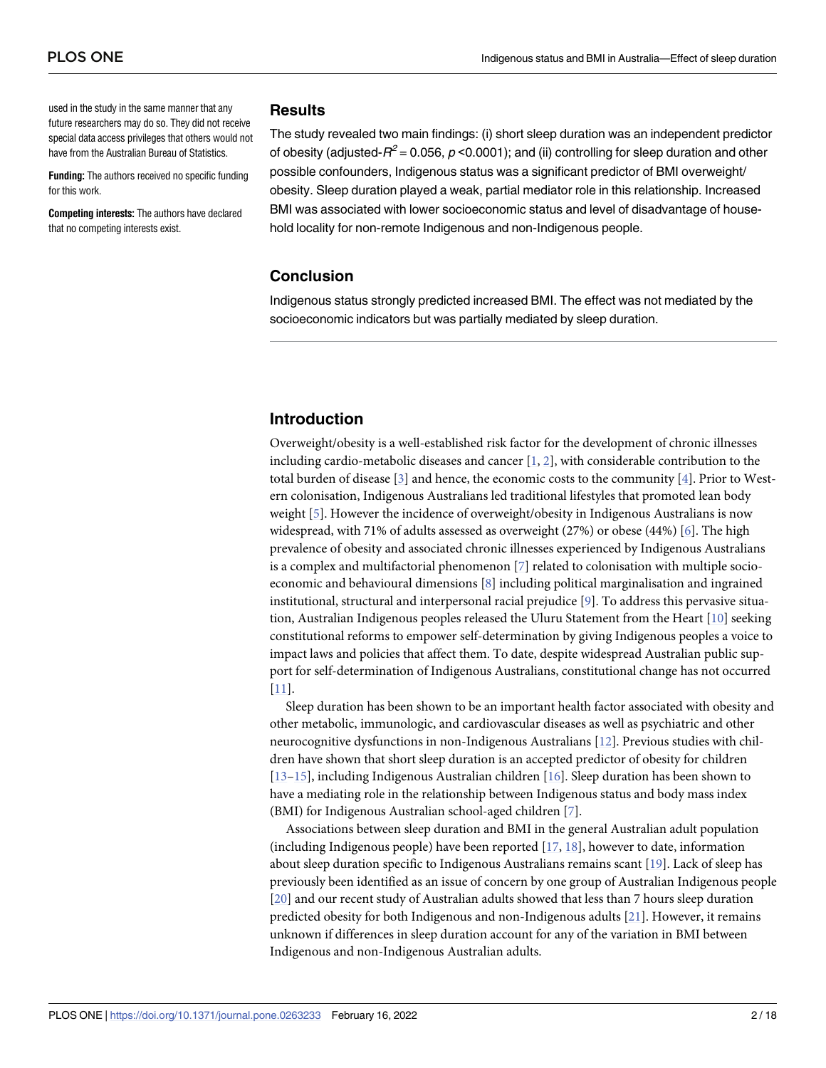<span id="page-2-0"></span>used in the study in the same manner that any future researchers may do so. They did not receive special data access privileges that others would not have from the Australian Bureau of Statistics.

**Funding:** The authors received no specific funding for this work.

**Competing interests:** The authors have declared that no competing interests exist.

#### **Results**

The study revealed two main findings: (i) short sleep duration was an independent predictor of obesity (adjusted- $R^2$  = 0.056, p <0.0001); and (ii) controlling for sleep duration and other possible confounders, Indigenous status was a significant predictor of BMI overweight/ obesity. Sleep duration played a weak, partial mediator role in this relationship. Increased BMI was associated with lower socioeconomic status and level of disadvantage of household locality for non-remote Indigenous and non-Indigenous people.

### **Conclusion**

Indigenous status strongly predicted increased BMI. The effect was not mediated by the socioeconomic indicators but was partially mediated by sleep duration.

## **Introduction**

Overweight/obesity is a well-established risk factor for the development of chronic illnesses including cardio-metabolic diseases and cancer [[1](#page-15-0), [2\]](#page-15-0), with considerable contribution to the total burden of disease [\[3\]](#page-15-0) and hence, the economic costs to the community [[4](#page-15-0)]. Prior to Western colonisation, Indigenous Australians led traditional lifestyles that promoted lean body weight [\[5](#page-15-0)]. However the incidence of overweight/obesity in Indigenous Australians is now widespread, with 71% of adults assessed as overweight (27%) or obese (44%) [[6](#page-15-0)]. The high prevalence of obesity and associated chronic illnesses experienced by Indigenous Australians is a complex and multifactorial phenomenon [\[7](#page-15-0)] related to colonisation with multiple socioeconomic and behavioural dimensions [[8\]](#page-15-0) including political marginalisation and ingrained institutional, structural and interpersonal racial prejudice [[9](#page-15-0)]. To address this pervasive situation, Australian Indigenous peoples released the Uluru Statement from the Heart [\[10\]](#page-15-0) seeking constitutional reforms to empower self-determination by giving Indigenous peoples a voice to impact laws and policies that affect them. To date, despite widespread Australian public support for self-determination of Indigenous Australians, constitutional change has not occurred [\[11\]](#page-15-0).

Sleep duration has been shown to be an important health factor associated with obesity and other metabolic, immunologic, and cardiovascular diseases as well as psychiatric and other neurocognitive dysfunctions in non-Indigenous Australians [\[12\]](#page-15-0). Previous studies with children have shown that short sleep duration is an accepted predictor of obesity for children [\[13–15\]](#page-15-0), including Indigenous Australian children [\[16\]](#page-15-0). Sleep duration has been shown to have a mediating role in the relationship between Indigenous status and body mass index (BMI) for Indigenous Australian school-aged children [\[7\]](#page-15-0).

Associations between sleep duration and BMI in the general Australian adult population (including Indigenous people) have been reported  $[17, 18]$  $[17, 18]$  $[17, 18]$  $[17, 18]$  $[17, 18]$ , however to date, information about sleep duration specific to Indigenous Australians remains scant [[19](#page-16-0)]. Lack of sleep has previously been identified as an issue of concern by one group of Australian Indigenous people [\[20\]](#page-16-0) and our recent study of Australian adults showed that less than 7 hours sleep duration predicted obesity for both Indigenous and non-Indigenous adults [[21](#page-16-0)]. However, it remains unknown if differences in sleep duration account for any of the variation in BMI between Indigenous and non-Indigenous Australian adults.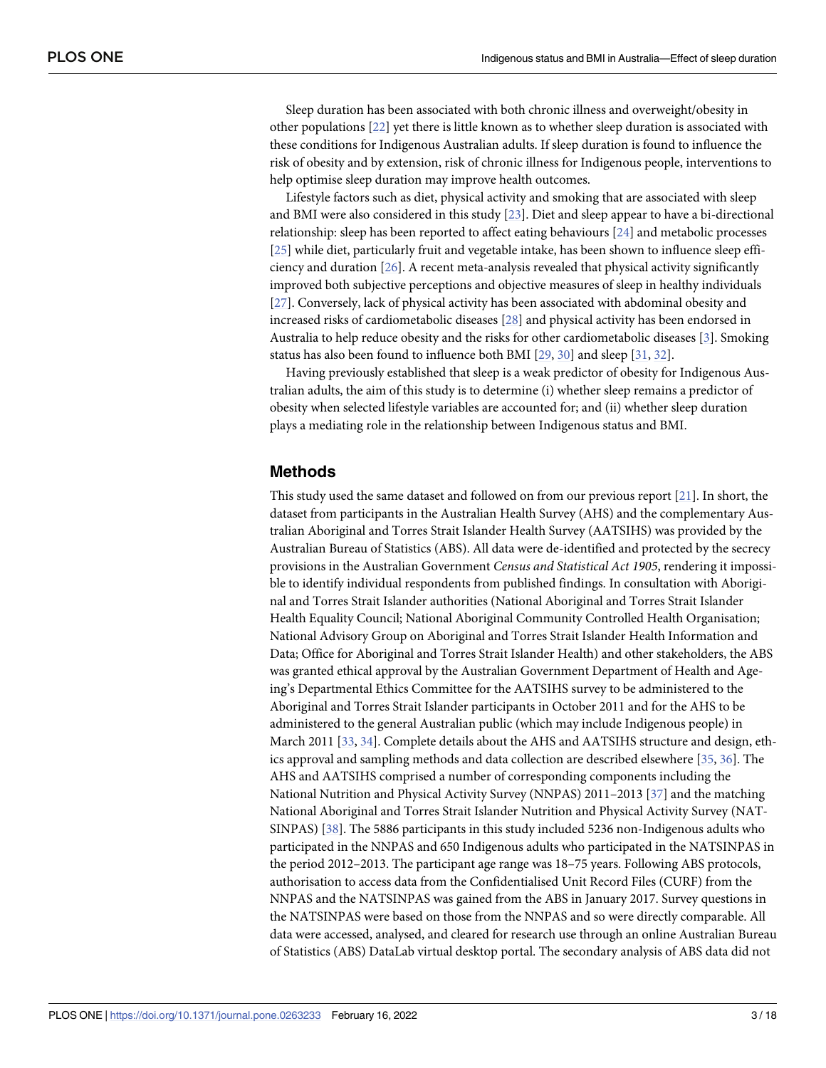<span id="page-3-0"></span>Sleep duration has been associated with both chronic illness and overweight/obesity in other populations [\[22\]](#page-16-0) yet there is little known as to whether sleep duration is associated with these conditions for Indigenous Australian adults. If sleep duration is found to influence the risk of obesity and by extension, risk of chronic illness for Indigenous people, interventions to help optimise sleep duration may improve health outcomes.

Lifestyle factors such as diet, physical activity and smoking that are associated with sleep and BMI were also considered in this study [[23](#page-16-0)]. Diet and sleep appear to have a bi-directional relationship: sleep has been reported to affect eating behaviours [\[24\]](#page-16-0) and metabolic processes [\[25\]](#page-16-0) while diet, particularly fruit and vegetable intake, has been shown to influence sleep efficiency and duration [\[26\]](#page-16-0). A recent meta-analysis revealed that physical activity significantly improved both subjective perceptions and objective measures of sleep in healthy individuals [\[27\]](#page-16-0). Conversely, lack of physical activity has been associated with abdominal obesity and increased risks of cardiometabolic diseases [[28](#page-16-0)] and physical activity has been endorsed in Australia to help reduce obesity and the risks for other cardiometabolic diseases [[3](#page-15-0)]. Smoking status has also been found to influence both BMI [\[29,](#page-16-0) [30\]](#page-16-0) and sleep [[31](#page-16-0), [32](#page-16-0)].

Having previously established that sleep is a weak predictor of obesity for Indigenous Australian adults, the aim of this study is to determine (i) whether sleep remains a predictor of obesity when selected lifestyle variables are accounted for; and (ii) whether sleep duration plays a mediating role in the relationship between Indigenous status and BMI.

#### **Methods**

This study used the same dataset and followed on from our previous report [\[21\]](#page-16-0). In short, the dataset from participants in the Australian Health Survey (AHS) and the complementary Australian Aboriginal and Torres Strait Islander Health Survey (AATSIHS) was provided by the Australian Bureau of Statistics (ABS). All data were de-identified and protected by the secrecy provisions in the Australian Government *Census and Statistical Act 1905*, rendering it impossible to identify individual respondents from published findings. In consultation with Aboriginal and Torres Strait Islander authorities (National Aboriginal and Torres Strait Islander Health Equality Council; National Aboriginal Community Controlled Health Organisation; National Advisory Group on Aboriginal and Torres Strait Islander Health Information and Data; Office for Aboriginal and Torres Strait Islander Health) and other stakeholders, the ABS was granted ethical approval by the Australian Government Department of Health and Ageing's Departmental Ethics Committee for the AATSIHS survey to be administered to the Aboriginal and Torres Strait Islander participants in October 2011 and for the AHS to be administered to the general Australian public (which may include Indigenous people) in March 2011 [\[33,](#page-16-0) [34\]](#page-16-0). Complete details about the AHS and AATSIHS structure and design, ethics approval and sampling methods and data collection are described elsewhere [[35](#page-16-0), [36](#page-16-0)]. The AHS and AATSIHS comprised a number of corresponding components including the National Nutrition and Physical Activity Survey (NNPAS) 2011–2013 [\[37\]](#page-16-0) and the matching National Aboriginal and Torres Strait Islander Nutrition and Physical Activity Survey (NAT-SINPAS) [[38](#page-16-0)]. The 5886 participants in this study included 5236 non-Indigenous adults who participated in the NNPAS and 650 Indigenous adults who participated in the NATSINPAS in the period 2012–2013. The participant age range was 18–75 years. Following ABS protocols, authorisation to access data from the Confidentialised Unit Record Files (CURF) from the NNPAS and the NATSINPAS was gained from the ABS in January 2017. Survey questions in the NATSINPAS were based on those from the NNPAS and so were directly comparable. All data were accessed, analysed, and cleared for research use through an online Australian Bureau of Statistics (ABS) DataLab virtual desktop portal. The secondary analysis of ABS data did not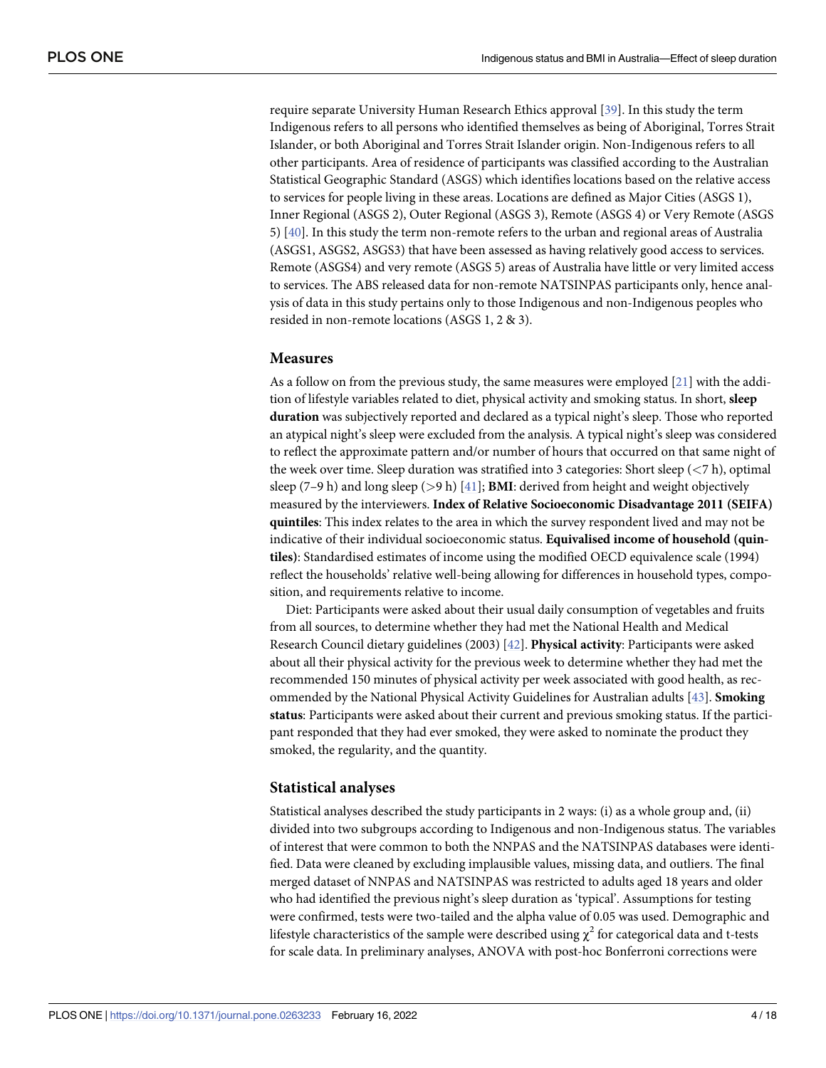<span id="page-4-0"></span>require separate University Human Research Ethics approval [\[39\]](#page-16-0). In this study the term Indigenous refers to all persons who identified themselves as being of Aboriginal, Torres Strait Islander, or both Aboriginal and Torres Strait Islander origin. Non-Indigenous refers to all other participants. Area of residence of participants was classified according to the Australian Statistical Geographic Standard (ASGS) which identifies locations based on the relative access to services for people living in these areas. Locations are defined as Major Cities (ASGS 1), Inner Regional (ASGS 2), Outer Regional (ASGS 3), Remote (ASGS 4) or Very Remote (ASGS 5) [[40](#page-16-0)]. In this study the term non-remote refers to the urban and regional areas of Australia (ASGS1, ASGS2, ASGS3) that have been assessed as having relatively good access to services. Remote (ASGS4) and very remote (ASGS 5) areas of Australia have little or very limited access to services. The ABS released data for non-remote NATSINPAS participants only, hence analysis of data in this study pertains only to those Indigenous and non-Indigenous peoples who resided in non-remote locations (ASGS 1, 2 & 3).

#### **Measures**

As a follow on from the previous study, the same measures were employed [\[21\]](#page-16-0) with the addition of lifestyle variables related to diet, physical activity and smoking status. In short, **sleep duration** was subjectively reported and declared as a typical night's sleep. Those who reported an atypical night's sleep were excluded from the analysis. A typical night's sleep was considered to reflect the approximate pattern and/or number of hours that occurred on that same night of the week over time. Sleep duration was stratified into 3 categories: Short sleep (*<*7 h), optimal sleep (7–9 h) and long sleep (*>*9 h) [[41](#page-17-0)]; **BMI**: derived from height and weight objectively measured by the interviewers. **Index of Relative Socioeconomic Disadvantage 2011 (SEIFA) quintiles**: This index relates to the area in which the survey respondent lived and may not be indicative of their individual socioeconomic status. **Equivalised income of household (quintiles)**: Standardised estimates of income using the modified OECD equivalence scale (1994) reflect the households' relative well-being allowing for differences in household types, composition, and requirements relative to income.

Diet: Participants were asked about their usual daily consumption of vegetables and fruits from all sources, to determine whether they had met the National Health and Medical Research Council dietary guidelines (2003) [\[42\]](#page-17-0). **Physical activity**: Participants were asked about all their physical activity for the previous week to determine whether they had met the recommended 150 minutes of physical activity per week associated with good health, as recommended by the National Physical Activity Guidelines for Australian adults [[43](#page-17-0)]. **Smoking status**: Participants were asked about their current and previous smoking status. If the participant responded that they had ever smoked, they were asked to nominate the product they smoked, the regularity, and the quantity.

#### **Statistical analyses**

Statistical analyses described the study participants in 2 ways: (i) as a whole group and, (ii) divided into two subgroups according to Indigenous and non-Indigenous status. The variables of interest that were common to both the NNPAS and the NATSINPAS databases were identified. Data were cleaned by excluding implausible values, missing data, and outliers. The final merged dataset of NNPAS and NATSINPAS was restricted to adults aged 18 years and older who had identified the previous night's sleep duration as 'typical'. Assumptions for testing were confirmed, tests were two-tailed and the alpha value of 0.05 was used. Demographic and lifestyle characteristics of the sample were described using  $\chi^2$  for categorical data and t-tests for scale data. In preliminary analyses, ANOVA with post-hoc Bonferroni corrections were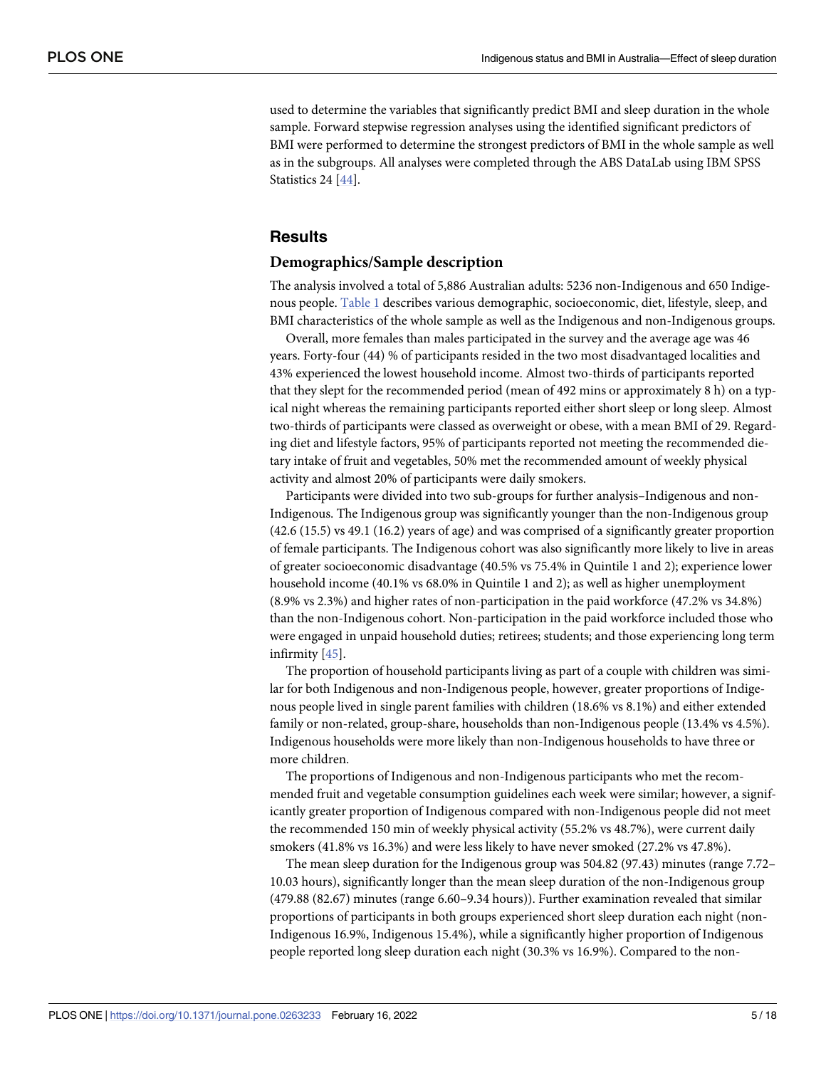<span id="page-5-0"></span>used to determine the variables that significantly predict BMI and sleep duration in the whole sample. Forward stepwise regression analyses using the identified significant predictors of BMI were performed to determine the strongest predictors of BMI in the whole sample as well as in the subgroups. All analyses were completed through the ABS DataLab using IBM SPSS Statistics 24 [\[44\]](#page-17-0).

## **Results**

#### **Demographics/Sample description**

The analysis involved a total of 5,886 Australian adults: 5236 non-Indigenous and 650 Indigenous people. [Table](#page-6-0) 1 describes various demographic, socioeconomic, diet, lifestyle, sleep, and BMI characteristics of the whole sample as well as the Indigenous and non-Indigenous groups.

Overall, more females than males participated in the survey and the average age was 46 years. Forty-four (44) % of participants resided in the two most disadvantaged localities and 43% experienced the lowest household income. Almost two-thirds of participants reported that they slept for the recommended period (mean of 492 mins or approximately 8 h) on a typical night whereas the remaining participants reported either short sleep or long sleep. Almost two-thirds of participants were classed as overweight or obese, with a mean BMI of 29. Regarding diet and lifestyle factors, 95% of participants reported not meeting the recommended dietary intake of fruit and vegetables, 50% met the recommended amount of weekly physical activity and almost 20% of participants were daily smokers.

Participants were divided into two sub-groups for further analysis–Indigenous and non-Indigenous. The Indigenous group was significantly younger than the non-Indigenous group (42.6 (15.5) vs 49.1 (16.2) years of age) and was comprised of a significantly greater proportion of female participants. The Indigenous cohort was also significantly more likely to live in areas of greater socioeconomic disadvantage (40.5% vs 75.4% in Quintile 1 and 2); experience lower household income (40.1% vs 68.0% in Quintile 1 and 2); as well as higher unemployment (8.9% vs 2.3%) and higher rates of non-participation in the paid workforce (47.2% vs 34.8%) than the non-Indigenous cohort. Non-participation in the paid workforce included those who were engaged in unpaid household duties; retirees; students; and those experiencing long term infirmity [\[45\]](#page-17-0).

The proportion of household participants living as part of a couple with children was similar for both Indigenous and non-Indigenous people, however, greater proportions of Indigenous people lived in single parent families with children (18.6% vs 8.1%) and either extended family or non-related, group-share, households than non-Indigenous people (13.4% vs 4.5%). Indigenous households were more likely than non-Indigenous households to have three or more children.

The proportions of Indigenous and non-Indigenous participants who met the recommended fruit and vegetable consumption guidelines each week were similar; however, a significantly greater proportion of Indigenous compared with non-Indigenous people did not meet the recommended 150 min of weekly physical activity (55.2% vs 48.7%), were current daily smokers (41.8% vs 16.3%) and were less likely to have never smoked (27.2% vs 47.8%).

The mean sleep duration for the Indigenous group was 504.82 (97.43) minutes (range 7.72– 10.03 hours), significantly longer than the mean sleep duration of the non-Indigenous group (479.88 (82.67) minutes (range 6.60–9.34 hours)). Further examination revealed that similar proportions of participants in both groups experienced short sleep duration each night (non-Indigenous 16.9%, Indigenous 15.4%), while a significantly higher proportion of Indigenous people reported long sleep duration each night (30.3% vs 16.9%). Compared to the non-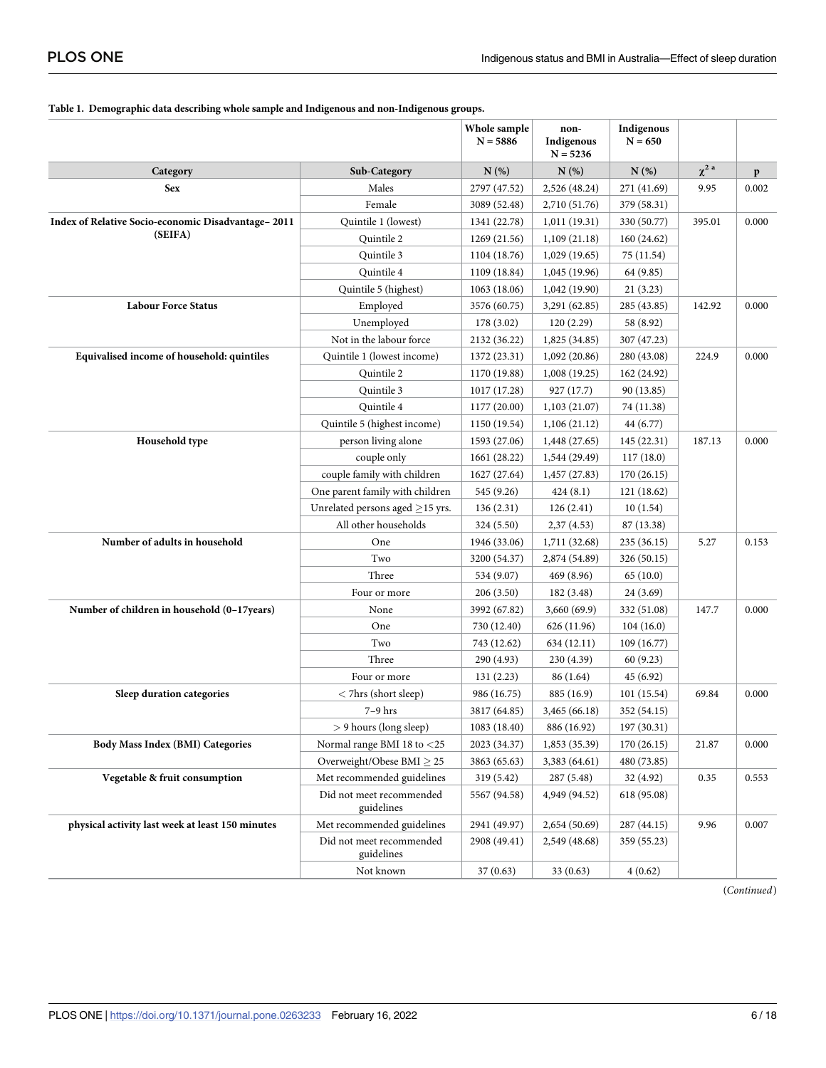#### <span id="page-6-0"></span>**[Table](#page-5-0) 1. Demographic data describing whole sample and Indigenous and non-Indigenous groups.**

|                                                    |                                                                     | Whole sample<br>$N = 5886$ | non-<br>Indigenous<br>$N = 5236$ | Indigenous<br>$N = 650$ |            |              |
|----------------------------------------------------|---------------------------------------------------------------------|----------------------------|----------------------------------|-------------------------|------------|--------------|
| Category                                           | Sub-Category                                                        | N(%)                       | N(%)                             | N(%)                    | $\chi^2$ a | $\mathbf{p}$ |
| <b>Sex</b>                                         | Males                                                               | 2797 (47.52)               | 2,526 (48.24)                    | 271 (41.69)             | 9.95       | 0.002        |
|                                                    | Female                                                              | 3089 (52.48)               | 2,710 (51.76)                    | 379 (58.31)             |            |              |
| Index of Relative Socio-economic Disadvantage-2011 | Quintile 1 (lowest)                                                 | 1341 (22.78)               | 1,011(19.31)                     | 330 (50.77)             | 395.01     | 0.000        |
| (SEIFA)                                            | Quintile 2                                                          | 1269 (21.56)               | 1,109(21.18)                     | 160 (24.62)             |            |              |
|                                                    | Quintile 3                                                          | 1104 (18.76)               | 1,029(19.65)                     | 75 (11.54)              |            |              |
|                                                    | Quintile 4                                                          | 1109 (18.84)               | 1,045(19.96)                     | 64 (9.85)               |            |              |
|                                                    | Quintile 5 (highest)                                                | 1063 (18.06)               | 1,042 (19.90)                    | 21(3.23)                |            |              |
| <b>Labour Force Status</b>                         | Employed                                                            | 3576 (60.75)               | 3,291 (62.85)                    | 285 (43.85)             | 142.92     | 0.000        |
|                                                    | Unemployed                                                          | 178 (3.02)                 | 120 (2.29)                       | 58 (8.92)               |            |              |
|                                                    | Not in the labour force                                             | 2132 (36.22)               | 1,825 (34.85)                    | 307 (47.23)             |            |              |
| Equivalised income of household: quintiles         | Quintile 1 (lowest income)                                          | 1372 (23.31)               | 1,092(20.86)                     | 280 (43.08)             | 224.9      | 0.000        |
|                                                    | Quintile 2                                                          | 1170 (19.88)               | 1,008(19.25)                     | 162 (24.92)             |            |              |
|                                                    | Quintile 3                                                          | 1017 (17.28)               | 927 (17.7)                       | 90 (13.85)              |            |              |
|                                                    | Quintile 4                                                          | 1177 (20.00)               | 1,103(21.07)                     | 74 (11.38)              |            |              |
|                                                    | Quintile 5 (highest income)                                         | 1150 (19.54)               | 1,106(21.12)                     | 44 (6.77)               |            |              |
| Household type                                     | person living alone<br>1593 (27.06)<br>1,448 (27.65)<br>145 (22.31) |                            |                                  | 187.13                  | 0.000      |              |
|                                                    | couple only                                                         | 1661 (28.22)               | 1,544 (29.49)                    | 117(18.0)               |            |              |
|                                                    | couple family with children                                         | 1627 (27.64)               | 1,457 (27.83)                    | 170(26.15)              |            |              |
|                                                    | One parent family with children                                     | 545 (9.26)                 | 424(8.1)                         | 121 (18.62)             |            |              |
|                                                    | Unrelated persons aged $\geq$ 15 yrs.                               | 136(2.31)                  | 126(2.41)                        | 10(1.54)                |            |              |
|                                                    | All other households                                                | 324 (5.50)                 | 2,37(4.53)                       | 87 (13.38)              |            |              |
| Number of adults in household                      | One                                                                 | 1946 (33.06)               | 1,711 (32.68)                    | 235 (36.15)             | 5.27       | 0.153        |
|                                                    | Two                                                                 | 3200 (54.37)               | 2,874 (54.89)                    | 326 (50.15)             |            |              |
|                                                    | Three                                                               | 534 (9.07)                 | 469 (8.96)                       | 65(10.0)                |            |              |
|                                                    | Four or more                                                        | 206(3.50)                  | 182 (3.48)                       | 24 (3.69)               |            |              |
| Number of children in household (0-17years)        | None                                                                | 3992 (67.82)               | 3,660(69.9)                      | 332 (51.08)             | 147.7      | 0.000        |
|                                                    | One                                                                 | 730 (12.40)                | 626 (11.96)                      | 104(16.0)               |            |              |
|                                                    | Two                                                                 | 743 (12.62)                | 634 (12.11)                      | 109 (16.77)             |            |              |
|                                                    | Three                                                               | 290 (4.93)                 | 230 (4.39)                       | 60 (9.23)               |            |              |
|                                                    | Four or more                                                        | 131(2.23)                  | 86 (1.64)                        | 45 (6.92)               |            |              |
| Sleep duration categories                          | < 7hrs (short sleep)                                                | 986 (16.75)                | 885 (16.9)                       | 101(15.54)              | 69.84      | 0.000        |
|                                                    | $7-9$ hrs                                                           | 3817 (64.85)               | 3,465 (66.18)                    | 352 (54.15)             |            |              |
|                                                    | > 9 hours (long sleep)                                              | 1083 (18.40)               | 886 (16.92)                      | 197 (30.31)             |            |              |
| <b>Body Mass Index (BMI) Categories</b>            | Normal range BMI 18 to <25                                          | 2023 (34.37)               | 1,853 (35.39)                    | 170 (26.15)             | 21.87      | 0.000        |
|                                                    | Overweight/Obese BMI $\geq$ 25                                      | 3863 (65.63)               | 3,383 (64.61)                    | 480 (73.85)             |            |              |
| Vegetable & fruit consumption                      | Met recommended guidelines                                          | 319 (5.42)                 | 287 (5.48)                       | 32 (4.92)               | 0.35       | 0.553        |
|                                                    | Did not meet recommended<br>guidelines                              | 5567 (94.58)               | 4,949 (94.52)                    | 618 (95.08)             |            |              |
| physical activity last week at least 150 minutes   | Met recommended guidelines                                          | 2941 (49.97)               | 2,654 (50.69)                    | 287 (44.15)             | 9.96       | 0.007        |
|                                                    | Did not meet recommended<br>guidelines                              | 2908 (49.41)               | 2,549 (48.68)                    | 359 (55.23)             |            |              |
|                                                    | Not known                                                           | 37(0.63)                   | 33(0.63)                         | 4(0.62)                 |            |              |

(*Continued*)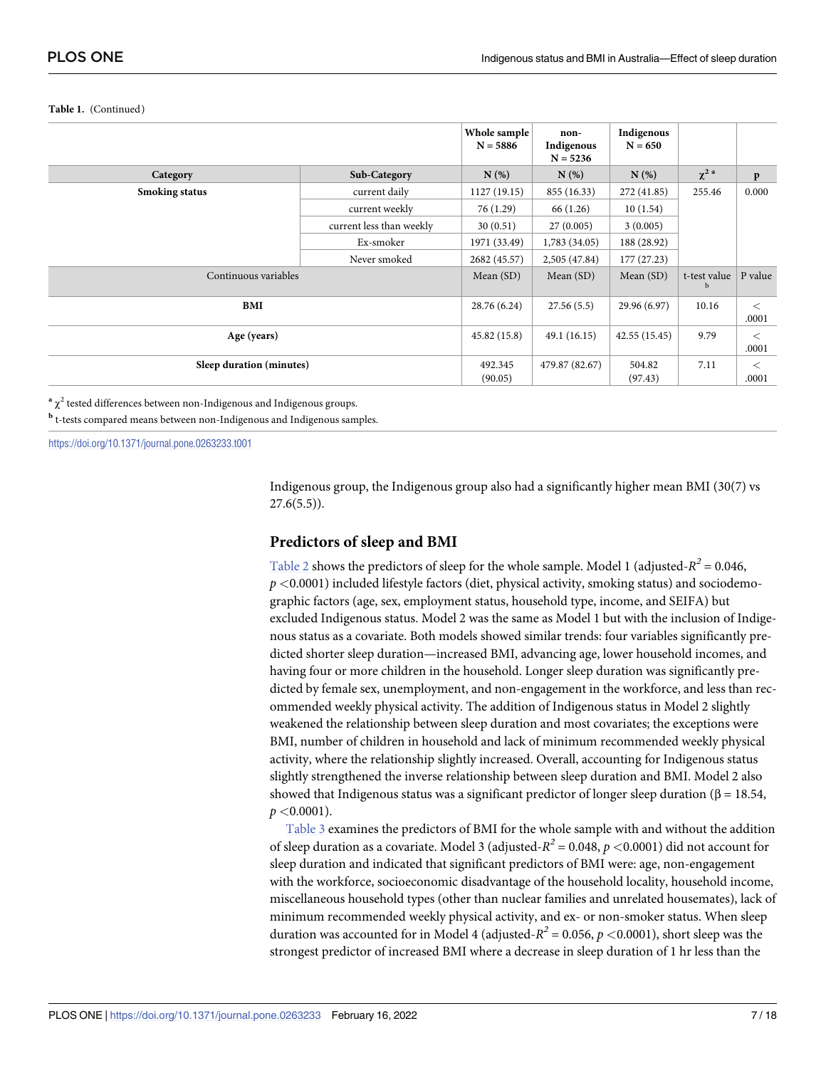#### <span id="page-7-0"></span>**Table 1.** (Continued)

|                          |                          | Whole sample<br>$N = 5886$ | non-<br>Indigenous<br>$N = 5236$ | Indigenous<br>$N = 650$ |                             |                  |
|--------------------------|--------------------------|----------------------------|----------------------------------|-------------------------|-----------------------------|------------------|
| Category                 | Sub-Category             | N(%)                       | $N(\%)$                          | N(%)                    | $\chi^2$ <sup>a</sup>       | $\mathbf{p}$     |
| <b>Smoking status</b>    | current daily            |                            | 855 (16.33)                      | 272 (41.85)             | 255.46                      | 0.000            |
|                          | current weekly           | 76 (1.29)                  | 66 (1.26)                        | 10(1.54)                |                             |                  |
|                          | current less than weekly | 30(0.51)                   | 27(0.005)                        | 3(0.005)                |                             |                  |
|                          | Ex-smoker                | 1971 (33.49)               | 1,783 (34.05)                    | 188 (28.92)             |                             |                  |
|                          | Never smoked             | 2682 (45.57)               | 2,505 (47.84)                    | 177 (27.23)             |                             |                  |
| Continuous variables     |                          |                            | Mean $(SD)$                      | Mean $(SD)$             | t-test value<br>$\mathbf b$ | P value          |
| BMI                      |                          |                            | 27.56(5.5)                       | 29.96 (6.97)            | 10.16                       | $\,<$<br>.0001   |
| Age (years)              |                          |                            | 49.1(16.15)                      | 42.55 (15.45)           | 9.79                        | $\,<\,$<br>.0001 |
| Sleep duration (minutes) |                          |                            | 479.87 (82.67)                   | 504.82<br>(97.43)       | 7.11                        | $\,<\,$<br>.0001 |

 $a^2 \gamma^2$  tested differences between non-Indigenous and Indigenous groups.

**<sup>b</sup>** t-tests compared means between non-Indigenous and Indigenous samples.

<https://doi.org/10.1371/journal.pone.0263233.t001>

Indigenous group, the Indigenous group also had a significantly higher mean BMI (30(7) vs  $27.6(5.5)$ .

#### **Predictors of sleep and BMI**

[Table](#page-8-0) 2 shows the predictors of sleep for the whole sample. Model 1 (adjusted- $R^2$  = 0.046, *p <*0.0001) included lifestyle factors (diet, physical activity, smoking status) and sociodemographic factors (age, sex, employment status, household type, income, and SEIFA) but excluded Indigenous status. Model 2 was the same as Model 1 but with the inclusion of Indigenous status as a covariate. Both models showed similar trends: four variables significantly predicted shorter sleep duration—increased BMI, advancing age, lower household incomes, and having four or more children in the household. Longer sleep duration was significantly predicted by female sex, unemployment, and non-engagement in the workforce, and less than recommended weekly physical activity. The addition of Indigenous status in Model 2 slightly weakened the relationship between sleep duration and most covariates; the exceptions were BMI, number of children in household and lack of minimum recommended weekly physical activity, where the relationship slightly increased. Overall, accounting for Indigenous status slightly strengthened the inverse relationship between sleep duration and BMI. Model 2 also showed that Indigenous status was a significant predictor of longer sleep duration ( $\beta = 18.54$ , *p <*0.0001).

[Table](#page-9-0) 3 examines the predictors of BMI for the whole sample with and without the addition of sleep duration as a covariate. Model 3 (adjusted-*R<sup>2</sup>* = 0.048, *p <*0.0001) did not account for sleep duration and indicated that significant predictors of BMI were: age, non-engagement with the workforce, socioeconomic disadvantage of the household locality, household income, miscellaneous household types (other than nuclear families and unrelated housemates), lack of minimum recommended weekly physical activity, and ex- or non-smoker status. When sleep duration was accounted for in Model 4 (adjusted- $R^2$  = 0.056,  $p$  < 0.0001), short sleep was the strongest predictor of increased BMI where a decrease in sleep duration of 1 hr less than the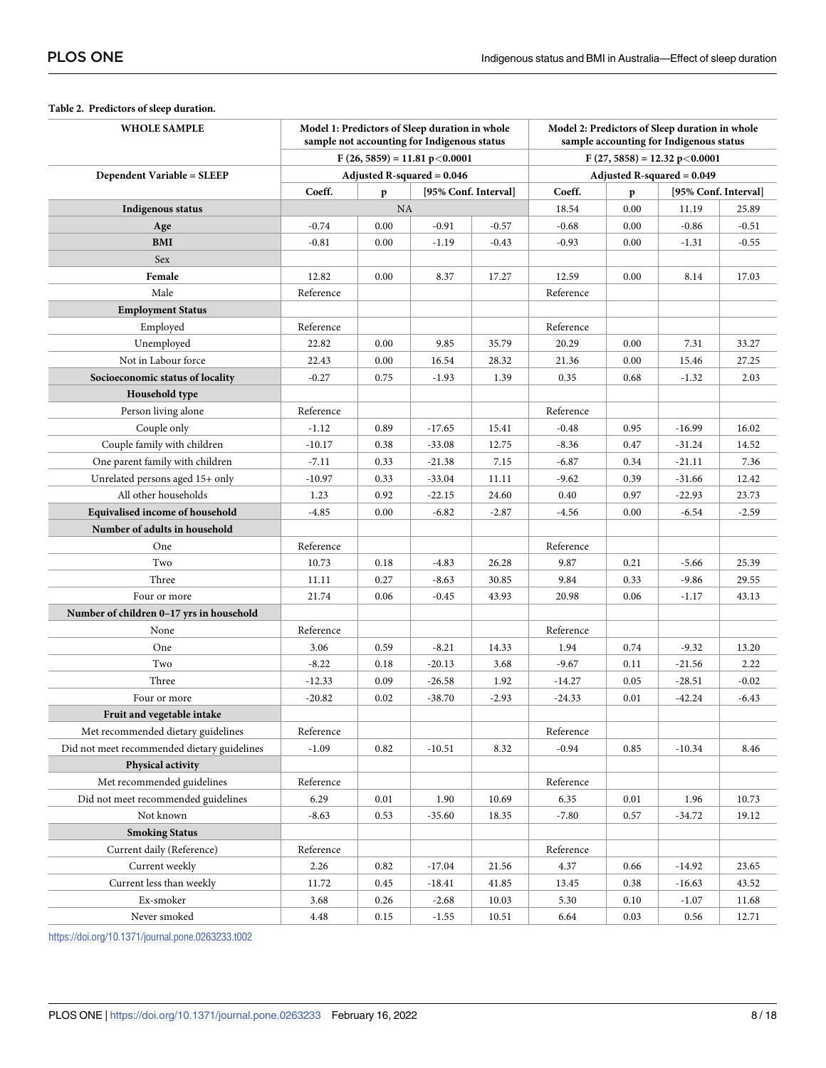| <b>WHOLE SAMPLE</b>                         | Model 1: Predictors of Sleep duration in whole<br>sample not accounting for Indigenous status |           |          |         | Model 2: Predictors of Sleep duration in whole<br>sample accounting for Indigenous status |      |                      |         |  |
|---------------------------------------------|-----------------------------------------------------------------------------------------------|-----------|----------|---------|-------------------------------------------------------------------------------------------|------|----------------------|---------|--|
|                                             | $F(26, 5859) = 11.81 p < 0.0001$                                                              |           |          |         | $F(27, 5858) = 12.32 p < 0.0001$                                                          |      |                      |         |  |
| <b>Dependent Variable = SLEEP</b>           | Adjusted R-squared $= 0.046$                                                                  |           |          |         | Adjusted R-squared = 0.049                                                                |      |                      |         |  |
|                                             | Coeff.<br>[95% Conf. Interval]<br>p                                                           |           |          | Coeff.  | $\mathbf{p}$                                                                              |      | [95% Conf. Interval] |         |  |
| Indigenous status                           |                                                                                               | <b>NA</b> |          |         | 18.54                                                                                     | 0.00 | 11.19                | 25.89   |  |
| Age                                         | $-0.74$                                                                                       | 0.00      | $-0.91$  | $-0.57$ | $-0.68$                                                                                   | 0.00 | $-0.86$              | $-0.51$ |  |
| <b>BMI</b>                                  | $-0.81$                                                                                       | 0.00      | $-1.19$  | $-0.43$ | $-0.93$                                                                                   | 0.00 | $-1.31$              | $-0.55$ |  |
| Sex                                         |                                                                                               |           |          |         |                                                                                           |      |                      |         |  |
| Female                                      | 12.82                                                                                         | 0.00      | 8.37     | 17.27   | 12.59                                                                                     | 0.00 | 8.14                 | 17.03   |  |
| Male                                        | Reference                                                                                     |           |          |         | Reference                                                                                 |      |                      |         |  |
| <b>Employment Status</b>                    |                                                                                               |           |          |         |                                                                                           |      |                      |         |  |
| Employed                                    | Reference                                                                                     |           |          |         | Reference                                                                                 |      |                      |         |  |
| Unemployed                                  | 22.82                                                                                         | 0.00      | 9.85     | 35.79   | 20.29                                                                                     | 0.00 | 7.31                 | 33.27   |  |
| Not in Labour force                         | 22.43                                                                                         | 0.00      | 16.54    | 28.32   | 21.36                                                                                     | 0.00 | 15.46                | 27.25   |  |
| Socioeconomic status of locality            | $-0.27$                                                                                       | 0.75      | $-1.93$  | 1.39    | 0.35                                                                                      | 0.68 | $-1.32$              | 2.03    |  |
| Household type                              |                                                                                               |           |          |         |                                                                                           |      |                      |         |  |
| Person living alone                         | Reference                                                                                     |           |          |         | Reference                                                                                 |      |                      |         |  |
| Couple only                                 | $-1.12$                                                                                       | 0.89      | $-17.65$ | 15.41   | $-0.48$                                                                                   | 0.95 | $-16.99$             | 16.02   |  |
| Couple family with children                 | $-10.17$                                                                                      | 0.38      | $-33.08$ | 12.75   | $-8.36$                                                                                   | 0.47 | $-31.24$             | 14.52   |  |
| One parent family with children             | -7.11                                                                                         | 0.33      | $-21.38$ | 7.15    | $-6.87$                                                                                   | 0.34 | $-21.11$             | 7.36    |  |
| Unrelated persons aged 15+ only             | $-10.97$                                                                                      | 0.33      | -33.04   | 11.11   | $-9.62$                                                                                   | 0.39 | $-31.66$             | 12.42   |  |
| All other households                        | 1.23                                                                                          | 0.92      | $-22.15$ | 24.60   | 0.40                                                                                      | 0.97 | $-22.93$             | 23.73   |  |
| Equivalised income of household             | $-4.85$                                                                                       | 0.00      | $-6.82$  | $-2.87$ | $-4.56$                                                                                   | 0.00 | $-6.54$              | $-2.59$ |  |
| Number of adults in household               |                                                                                               |           |          |         |                                                                                           |      |                      |         |  |
| One                                         | Reference                                                                                     |           |          |         | Reference                                                                                 |      |                      |         |  |
| Two                                         | 10.73                                                                                         | 0.18      | $-4.83$  | 26.28   | 9.87                                                                                      | 0.21 | $-5.66$              | 25.39   |  |
| Three                                       | 11.11                                                                                         | 0.27      | $-8.63$  | 30.85   | 9.84                                                                                      | 0.33 | $-9.86$              | 29.55   |  |
| Four or more                                | 21.74                                                                                         | 0.06      | $-0.45$  | 43.93   | 20.98                                                                                     | 0.06 | $-1.17$              | 43.13   |  |
| Number of children 0-17 yrs in household    |                                                                                               |           |          |         |                                                                                           |      |                      |         |  |
| None                                        | Reference                                                                                     |           |          |         | Reference                                                                                 |      |                      |         |  |
| One                                         | 3.06                                                                                          | 0.59      | $-8.21$  | 14.33   | 1.94                                                                                      | 0.74 | $-9.32$              | 13.20   |  |
| Two                                         | $-8.22$                                                                                       | 0.18      | $-20.13$ | 3.68    | $-9.67$                                                                                   | 0.11 | $-21.56$             | 2.22    |  |
| Three                                       | $-12.33$                                                                                      | 0.09      | $-26.58$ | 1.92    | $-14.27$                                                                                  | 0.05 | $-28.51$             | $-0.02$ |  |
| Four or more                                | $-20.82$                                                                                      | 0.02      | $-38.70$ | $-2.93$ | $-24.33$                                                                                  | 0.01 | $-42.24$             | $-6.43$ |  |
| Fruit and vegetable intake                  |                                                                                               |           |          |         |                                                                                           |      |                      |         |  |
| Met recommended dietary guidelines          | Reference                                                                                     |           |          |         | Reference                                                                                 |      |                      |         |  |
| Did not meet recommended dietary guidelines | $-1.09$                                                                                       | 0.82      | $-10.51$ | 8.32    | $-0.94$                                                                                   | 0.85 | $-10.34$             | 8.46    |  |
| Physical activity                           |                                                                                               |           |          |         |                                                                                           |      |                      |         |  |
| Met recommended guidelines                  | Reference                                                                                     |           |          |         | Reference                                                                                 |      |                      |         |  |
| Did not meet recommended guidelines         | 6.29                                                                                          | 0.01      | 1.90     | 10.69   | 6.35                                                                                      | 0.01 | 1.96                 | 10.73   |  |
| Not known                                   | $-8.63$                                                                                       | 0.53      | $-35.60$ | 18.35   | $-7.80$                                                                                   | 0.57 | $-34.72$             | 19.12   |  |
| <b>Smoking Status</b>                       |                                                                                               |           |          |         |                                                                                           |      |                      |         |  |
| Current daily (Reference)                   | Reference                                                                                     |           |          |         | ${\rm Reference}$                                                                         |      |                      |         |  |
| Current weekly                              | 2.26                                                                                          | 0.82      | $-17.04$ | 21.56   | 4.37                                                                                      | 0.66 | $-14.92$             | 23.65   |  |
| Current less than weekly                    | 11.72                                                                                         | 0.45      | $-18.41$ | 41.85   | 13.45                                                                                     | 0.38 | $-16.63$             | 43.52   |  |
| Ex-smoker                                   | 3.68                                                                                          | 0.26      | $-2.68$  | 10.03   | 5.30                                                                                      | 0.10 | $-1.07$              | 11.68   |  |
| Never smoked                                | 4.48                                                                                          | 0.15      | $-1.55$  | 10.51   | 6.64                                                                                      | 0.03 | 0.56                 | 12.71   |  |

#### <span id="page-8-0"></span>**[Table](#page-7-0) 2. Predictors of sleep duration.**

<https://doi.org/10.1371/journal.pone.0263233.t002>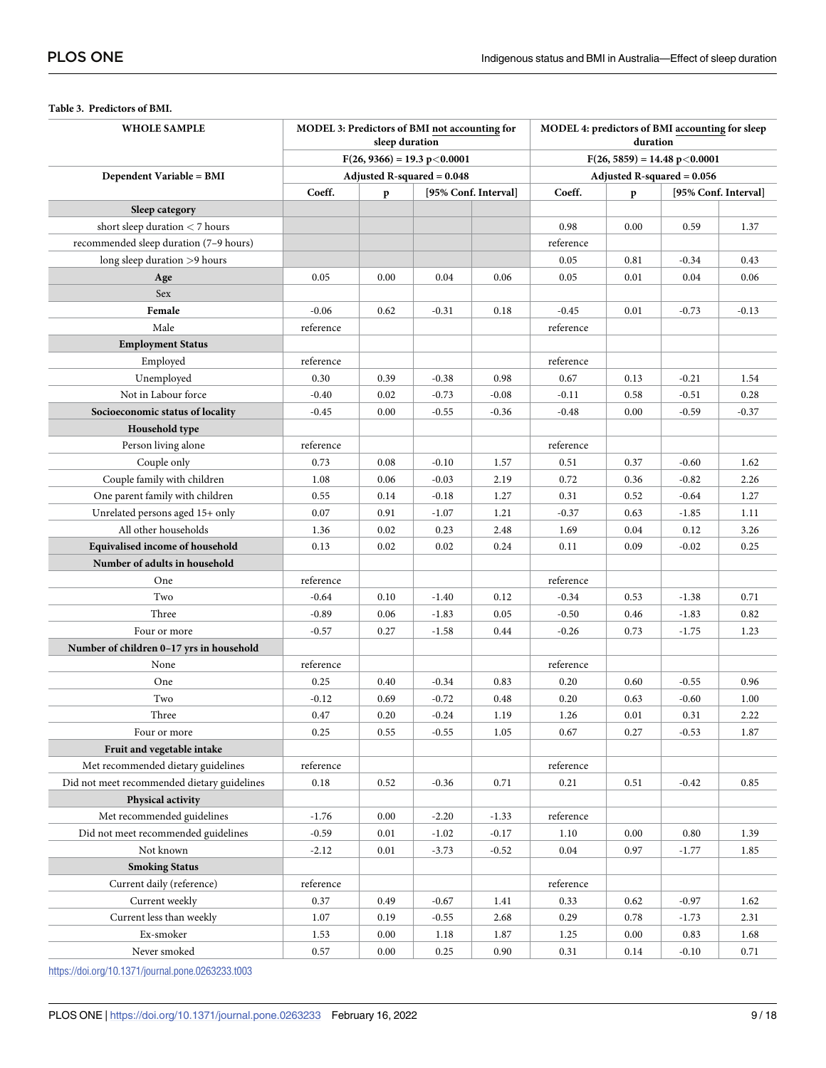| <b>WHOLE SAMPLE</b>                         | MODEL 3: Predictors of BMI not accounting for<br>sleep duration |      |                              |         | MODEL 4: predictors of BMI accounting for sleep<br>duration |      |         |                      |  |
|---------------------------------------------|-----------------------------------------------------------------|------|------------------------------|---------|-------------------------------------------------------------|------|---------|----------------------|--|
|                                             | $F(26, 9366) = 19.3 p < 0.0001$                                 |      |                              |         | $F(26, 5859) = 14.48 p < 0.0001$                            |      |         |                      |  |
| <b>Dependent Variable = BMI</b>             |                                                                 |      | Adjusted R-squared $= 0.048$ |         | Adjusted R-squared $= 0.056$                                |      |         |                      |  |
|                                             | Coeff.                                                          | p    | [95% Conf. Interval]         |         | Coeff.                                                      | p    |         | [95% Conf. Interval] |  |
| Sleep category                              |                                                                 |      |                              |         |                                                             |      |         |                      |  |
| short sleep duration $<$ 7 hours            |                                                                 |      |                              |         | 0.98                                                        | 0.00 | 0.59    | 1.37                 |  |
| recommended sleep duration (7-9 hours)      |                                                                 |      |                              |         | reference                                                   |      |         |                      |  |
| long sleep duration >9 hours                |                                                                 |      |                              |         | 0.05                                                        | 0.81 | $-0.34$ | 0.43                 |  |
| Age                                         | 0.05                                                            | 0.00 | 0.04                         | 0.06    | 0.05                                                        | 0.01 | 0.04    | 0.06                 |  |
| Sex                                         |                                                                 |      |                              |         |                                                             |      |         |                      |  |
| Female                                      | $-0.06$                                                         | 0.62 | $-0.31$                      | 0.18    | $-0.45$                                                     | 0.01 | $-0.73$ | $-0.13$              |  |
| Male                                        | reference                                                       |      |                              |         | reference                                                   |      |         |                      |  |
| <b>Employment Status</b>                    |                                                                 |      |                              |         |                                                             |      |         |                      |  |
| Employed                                    | reference                                                       |      |                              |         | reference                                                   |      |         |                      |  |
| Unemployed                                  | 0.30                                                            | 0.39 | $-0.38$                      | 0.98    | 0.67                                                        | 0.13 | $-0.21$ | 1.54                 |  |
| Not in Labour force                         | $-0.40$                                                         | 0.02 | $-0.73$                      | $-0.08$ | $-0.11$                                                     | 0.58 | $-0.51$ | 0.28                 |  |
| Socioeconomic status of locality            | $-0.45$                                                         | 0.00 | $-0.55$                      | $-0.36$ | $-0.48$                                                     | 0.00 | $-0.59$ | $-0.37$              |  |
| Household type                              |                                                                 |      |                              |         |                                                             |      |         |                      |  |
| Person living alone                         | reference                                                       |      |                              |         | reference                                                   |      |         |                      |  |
| Couple only                                 | 0.73                                                            | 0.08 | $-0.10$                      | 1.57    | 0.51                                                        | 0.37 | $-0.60$ | 1.62                 |  |
| Couple family with children                 | 1.08                                                            | 0.06 | $-0.03$                      | 2.19    | 0.72                                                        | 0.36 | $-0.82$ | 2.26                 |  |
| One parent family with children             | 0.55                                                            | 0.14 | $-0.18$                      | 1.27    | 0.31                                                        | 0.52 | $-0.64$ | 1.27                 |  |
| Unrelated persons aged 15+ only             | 0.07                                                            | 0.91 | $-1.07$                      | 1.21    | $-0.37$                                                     | 0.63 | $-1.85$ | 1.11                 |  |
| All other households                        | 1.36                                                            | 0.02 | 0.23                         | 2.48    | 1.69                                                        | 0.04 | 0.12    | 3.26                 |  |
| Equivalised income of household             | 0.13                                                            | 0.02 | 0.02                         | 0.24    | 0.11                                                        | 0.09 | $-0.02$ | 0.25                 |  |
| Number of adults in household               |                                                                 |      |                              |         |                                                             |      |         |                      |  |
| One                                         | reference                                                       |      |                              |         | reference                                                   |      |         |                      |  |
| Two                                         | $-0.64$                                                         | 0.10 | $-1.40$                      | 0.12    | $-0.34$                                                     | 0.53 | $-1.38$ | 0.71                 |  |
| Three                                       | $-0.89$                                                         | 0.06 | $-1.83$                      | 0.05    | $-0.50$                                                     | 0.46 | $-1.83$ | 0.82                 |  |
| Four or more                                | $-0.57$                                                         | 0.27 | $-1.58$                      | 0.44    | $-0.26$                                                     | 0.73 | -1.75   | 1.23                 |  |
| Number of children 0-17 yrs in household    |                                                                 |      |                              |         |                                                             |      |         |                      |  |
| None                                        | reference                                                       |      |                              |         | reference                                                   |      |         |                      |  |
| One                                         | 0.25                                                            | 0.40 | $-0.34$                      | 0.83    | 0.20                                                        | 0.60 | $-0.55$ | 0.96                 |  |
| Two                                         | $-0.12$                                                         | 0.69 | $-0.72$                      | 0.48    | 0.20                                                        | 0.63 | $-0.60$ | 1.00                 |  |
| Three                                       | 0.47                                                            | 0.20 | $-0.24$                      | 1.19    | 1.26                                                        | 0.01 | 0.31    | 2.22                 |  |
| Four or more                                | 0.25                                                            | 0.55 | $-0.55$                      | 1.05    | 0.67                                                        | 0.27 | $-0.53$ | 1.87                 |  |
| Fruit and vegetable intake                  |                                                                 |      |                              |         |                                                             |      |         |                      |  |
| Met recommended dietary guidelines          | reference                                                       |      |                              |         | reference                                                   |      |         |                      |  |
| Did not meet recommended dietary guidelines | 0.18                                                            | 0.52 | $-0.36$                      | 0.71    | 0.21                                                        | 0.51 | $-0.42$ | 0.85                 |  |
| Physical activity                           |                                                                 |      |                              |         |                                                             |      |         |                      |  |
| Met recommended guidelines                  | $-1.76$                                                         | 0.00 | $-2.20$                      | $-1.33$ | reference                                                   |      |         |                      |  |
| Did not meet recommended guidelines         | $-0.59$                                                         | 0.01 | $-1.02$                      | $-0.17$ | 1.10                                                        | 0.00 | 0.80    | 1.39                 |  |
| Not known                                   | $-2.12$                                                         | 0.01 | $-3.73$                      | $-0.52$ | 0.04                                                        | 0.97 | -1.77   | 1.85                 |  |
| <b>Smoking Status</b>                       |                                                                 |      |                              |         |                                                             |      |         |                      |  |
| Current daily (reference)                   | reference                                                       |      |                              |         | reference                                                   |      |         |                      |  |
| Current weekly                              | 0.37                                                            | 0.49 | $-0.67$                      | 1.41    | 0.33                                                        | 0.62 | $-0.97$ | 1.62                 |  |
| Current less than weekly                    | 1.07                                                            | 0.19 | $-0.55$                      | 2.68    | 0.29                                                        | 0.78 | $-1.73$ | 2.31                 |  |
| Ex-smoker                                   | 1.53                                                            | 0.00 | 1.18                         | 1.87    | 1.25                                                        | 0.00 | 0.83    | 1.68                 |  |
| Never smoked                                | 0.57                                                            | 0.00 | 0.25                         | 0.90    | 0.31                                                        | 0.14 | $-0.10$ | 0.71                 |  |

#### <span id="page-9-0"></span>**[Table](#page-7-0) 3. Predictors of BMI.**

<https://doi.org/10.1371/journal.pone.0263233.t003>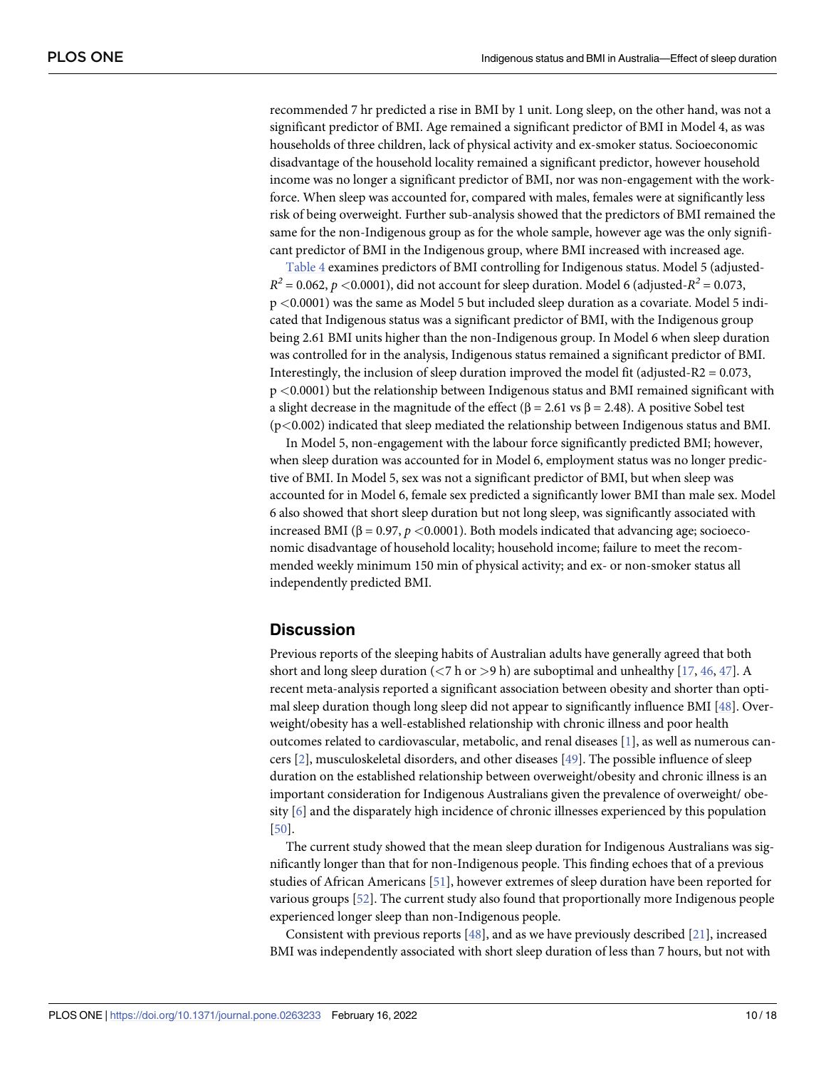<span id="page-10-0"></span>recommended 7 hr predicted a rise in BMI by 1 unit. Long sleep, on the other hand, was not a significant predictor of BMI. Age remained a significant predictor of BMI in Model 4, as was households of three children, lack of physical activity and ex-smoker status. Socioeconomic disadvantage of the household locality remained a significant predictor, however household income was no longer a significant predictor of BMI, nor was non-engagement with the workforce. When sleep was accounted for, compared with males, females were at significantly less risk of being overweight. Further sub-analysis showed that the predictors of BMI remained the same for the non-Indigenous group as for the whole sample, however age was the only significant predictor of BMI in the Indigenous group, where BMI increased with increased age.

[Table](#page-11-0) 4 examines predictors of BMI controlling for Indigenous status. Model 5 (adjusted- $R^2 = 0.062$ ,  $p \lt 0.0001$ ), did not account for sleep duration. Model 6 (adjusted- $R^2 = 0.073$ , p *<*0.0001) was the same as Model 5 but included sleep duration as a covariate. Model 5 indicated that Indigenous status was a significant predictor of BMI, with the Indigenous group being 2.61 BMI units higher than the non-Indigenous group. In Model 6 when sleep duration was controlled for in the analysis, Indigenous status remained a significant predictor of BMI. Interestingly, the inclusion of sleep duration improved the model fit (adjusted-R2 =  $0.073$ , p *<*0.0001) but the relationship between Indigenous status and BMI remained significant with a slight decrease in the magnitude of the effect ( $\beta = 2.61$  vs  $\beta = 2.48$ ). A positive Sobel test (p*<*0.002) indicated that sleep mediated the relationship between Indigenous status and BMI.

In Model 5, non-engagement with the labour force significantly predicted BMI; however, when sleep duration was accounted for in Model 6, employment status was no longer predictive of BMI. In Model 5, sex was not a significant predictor of BMI, but when sleep was accounted for in Model 6, female sex predicted a significantly lower BMI than male sex. Model 6 also showed that short sleep duration but not long sleep, was significantly associated with increased BMI (β = 0.97, *p <*0.0001). Both models indicated that advancing age; socioeconomic disadvantage of household locality; household income; failure to meet the recommended weekly minimum 150 min of physical activity; and ex- or non-smoker status all independently predicted BMI.

#### **Discussion**

Previous reports of the sleeping habits of Australian adults have generally agreed that both short and long sleep duration (*<*7 h or *>*9 h) are suboptimal and unhealthy [\[17,](#page-15-0) [46,](#page-17-0) [47\]](#page-17-0). A recent meta-analysis reported a significant association between obesity and shorter than optimal sleep duration though long sleep did not appear to significantly influence BMI [\[48\]](#page-17-0). Overweight/obesity has a well-established relationship with chronic illness and poor health outcomes related to cardiovascular, metabolic, and renal diseases [[1](#page-15-0)], as well as numerous cancers [\[2](#page-15-0)], musculoskeletal disorders, and other diseases [\[49\]](#page-17-0). The possible influence of sleep duration on the established relationship between overweight/obesity and chronic illness is an important consideration for Indigenous Australians given the prevalence of overweight/ obesity [\[6](#page-15-0)] and the disparately high incidence of chronic illnesses experienced by this population [\[50\]](#page-17-0).

The current study showed that the mean sleep duration for Indigenous Australians was significantly longer than that for non-Indigenous people. This finding echoes that of a previous studies of African Americans [\[51\]](#page-17-0), however extremes of sleep duration have been reported for various groups [[52](#page-17-0)]. The current study also found that proportionally more Indigenous people experienced longer sleep than non-Indigenous people.

Consistent with previous reports  $[48]$  $[48]$  $[48]$ , and as we have previously described  $[21]$  $[21]$  $[21]$ , increased BMI was independently associated with short sleep duration of less than 7 hours, but not with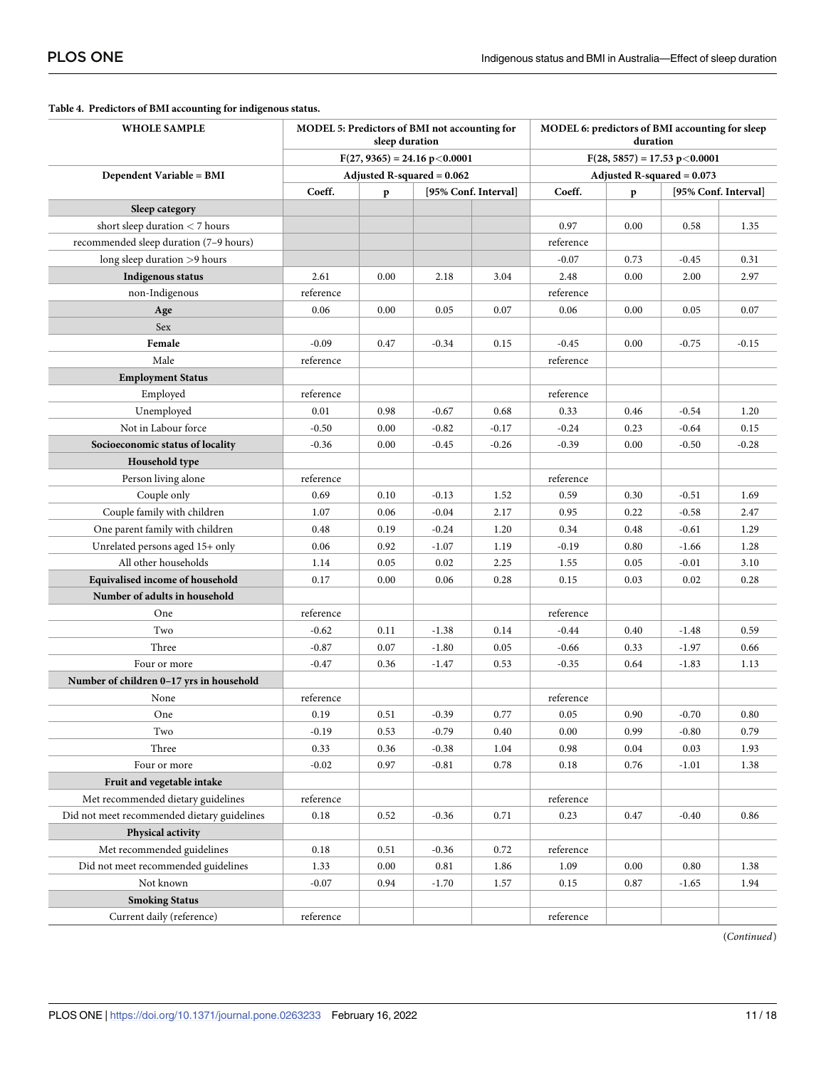| <b>WHOLE SAMPLE</b>                         | MODEL 5: Predictors of BMI not accounting for<br>sleep duration |      |         |         | MODEL 6: predictors of BMI accounting for sleep<br>duration |                      |         |         |  |
|---------------------------------------------|-----------------------------------------------------------------|------|---------|---------|-------------------------------------------------------------|----------------------|---------|---------|--|
|                                             | $F(27, 9365) = 24.16 p < 0.0001$                                |      |         |         | $F(28, 5857) = 17.53 p < 0.0001$                            |                      |         |         |  |
| Dependent Variable = BMI                    | Adjusted R-squared $= 0.062$                                    |      |         |         | Adjusted R-squared $= 0.073$                                |                      |         |         |  |
|                                             | Coeff.<br>[95% Conf. Interval]<br>p                             |      |         | Coeff.  | p                                                           | [95% Conf. Interval] |         |         |  |
| Sleep category                              |                                                                 |      |         |         |                                                             |                      |         |         |  |
| short sleep duration $<$ 7 hours            |                                                                 |      |         |         | 0.97                                                        | 0.00                 | 0.58    | 1.35    |  |
| recommended sleep duration (7-9 hours)      |                                                                 |      |         |         | reference                                                   |                      |         |         |  |
| long sleep duration >9 hours                |                                                                 |      |         |         | $-0.07$                                                     | 0.73                 | $-0.45$ | 0.31    |  |
| Indigenous status                           | 2.61                                                            | 0.00 | 2.18    | 3.04    | 2.48                                                        | 0.00                 | 2.00    | 2.97    |  |
| non-Indigenous                              | reference                                                       |      |         |         | reference                                                   |                      |         |         |  |
| Age                                         | 0.06                                                            | 0.00 | 0.05    | 0.07    | 0.06                                                        | 0.00                 | 0.05    | 0.07    |  |
| Sex                                         |                                                                 |      |         |         |                                                             |                      |         |         |  |
| Female                                      | $-0.09$                                                         | 0.47 | $-0.34$ | 0.15    | $-0.45$                                                     | 0.00                 | $-0.75$ | $-0.15$ |  |
| Male                                        | reference                                                       |      |         |         | reference                                                   |                      |         |         |  |
| <b>Employment Status</b>                    |                                                                 |      |         |         |                                                             |                      |         |         |  |
| Employed                                    | reference                                                       |      |         |         | reference                                                   |                      |         |         |  |
| Unemployed                                  | 0.01                                                            | 0.98 | $-0.67$ | 0.68    | 0.33                                                        | 0.46                 | $-0.54$ | 1.20    |  |
| Not in Labour force                         | $-0.50$                                                         | 0.00 | $-0.82$ | $-0.17$ | $-0.24$                                                     | 0.23                 | $-0.64$ | 0.15    |  |
| Socioeconomic status of locality            | $-0.36$                                                         | 0.00 | $-0.45$ | $-0.26$ | $-0.39$                                                     | 0.00                 | $-0.50$ | $-0.28$ |  |
| Household type                              |                                                                 |      |         |         |                                                             |                      |         |         |  |
| Person living alone                         | reference                                                       |      |         |         | reference                                                   |                      |         |         |  |
| Couple only                                 | 0.69                                                            | 0.10 | $-0.13$ | 1.52    | 0.59                                                        | 0.30                 | $-0.51$ | 1.69    |  |
| Couple family with children                 | 1.07                                                            | 0.06 | $-0.04$ | 2.17    | 0.95                                                        | 0.22                 | $-0.58$ | 2.47    |  |
| One parent family with children             | 0.48                                                            | 0.19 | $-0.24$ | 1.20    | 0.34                                                        | 0.48                 | $-0.61$ | 1.29    |  |
| Unrelated persons aged 15+ only             | 0.06                                                            | 0.92 | $-1.07$ | 1.19    | $-0.19$                                                     | 0.80                 | $-1.66$ | 1.28    |  |
| All other households                        | 1.14                                                            | 0.05 | 0.02    | 2.25    | 1.55                                                        | 0.05                 | $-0.01$ | 3.10    |  |
| Equivalised income of household             | 0.17                                                            | 0.00 | 0.06    | 0.28    | 0.15                                                        | 0.03                 | 0.02    | 0.28    |  |
| Number of adults in household               |                                                                 |      |         |         |                                                             |                      |         |         |  |
| One                                         | reference                                                       |      |         |         | reference                                                   |                      |         |         |  |
| Two                                         | $-0.62$                                                         | 0.11 | $-1.38$ | 0.14    | $-0.44$                                                     | 0.40                 | $-1.48$ | 0.59    |  |
| Three                                       | $-0.87$                                                         | 0.07 | $-1.80$ | 0.05    | $-0.66$                                                     | 0.33                 | $-1.97$ | 0.66    |  |
| Four or more                                | $-0.47$                                                         | 0.36 | $-1.47$ | 0.53    | $-0.35$                                                     | 0.64                 | $-1.83$ | 1.13    |  |
| Number of children 0-17 yrs in household    |                                                                 |      |         |         |                                                             |                      |         |         |  |
| None                                        | reference                                                       |      |         |         | reference                                                   |                      |         |         |  |
| One                                         | 0.19                                                            | 0.51 | $-0.39$ | 0.77    | 0.05                                                        | 0.90                 | $-0.70$ | 0.80    |  |
| Two                                         | $-0.19$                                                         | 0.53 | $-0.79$ | 0.40    | 0.00                                                        | 0.99                 | $-0.80$ | 0.79    |  |
| Three                                       | 0.33                                                            | 0.36 | $-0.38$ | 1.04    | 0.98                                                        | 0.04                 | 0.03    | 1.93    |  |
| Four or more                                | $-0.02$                                                         | 0.97 | $-0.81$ | 0.78    | 0.18                                                        | 0.76                 | $-1.01$ | 1.38    |  |
| Fruit and vegetable intake                  |                                                                 |      |         |         |                                                             |                      |         |         |  |
| Met recommended dietary guidelines          | reference                                                       |      |         |         | reference                                                   |                      |         |         |  |
| Did not meet recommended dietary guidelines | 0.18                                                            | 0.52 | $-0.36$ | 0.71    | 0.23                                                        | 0.47                 | $-0.40$ | 0.86    |  |
| Physical activity                           |                                                                 |      |         |         |                                                             |                      |         |         |  |
| Met recommended guidelines                  | 0.18                                                            | 0.51 | $-0.36$ | 0.72    | reference                                                   |                      |         |         |  |
| Did not meet recommended guidelines         | 1.33                                                            | 0.00 | 0.81    | 1.86    | 1.09                                                        | 0.00                 | 0.80    | 1.38    |  |
| Not known                                   | $-0.07$                                                         | 0.94 | $-1.70$ | 1.57    | 0.15                                                        | 0.87                 | $-1.65$ | 1.94    |  |
| <b>Smoking Status</b>                       |                                                                 |      |         |         |                                                             |                      |         |         |  |
| Current daily (reference)                   | reference                                                       |      |         |         | reference                                                   |                      |         |         |  |

#### <span id="page-11-0"></span>**[Table](#page-10-0) 4. Predictors of BMI accounting for indigenous status.**

(*Continued*)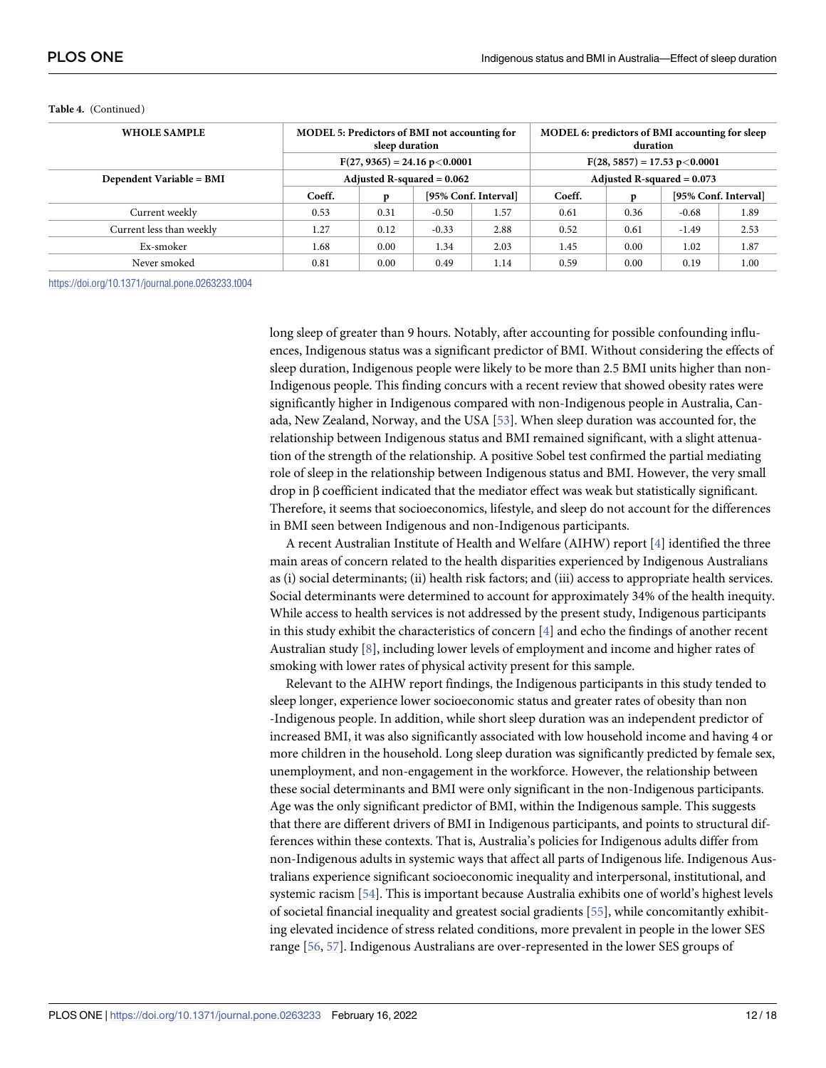| <b>WHOLE SAMPLE</b>      | <b>MODEL 5: Predictors of BMI not accounting for</b><br>sleep duration |      |         |                      | MODEL 6: predictors of BMI accounting for sleep<br>duration |      |                                  |      |  |
|--------------------------|------------------------------------------------------------------------|------|---------|----------------------|-------------------------------------------------------------|------|----------------------------------|------|--|
|                          | $F(27, 9365) = 24.16 p < 0.0001$                                       |      |         |                      |                                                             |      | $F(28, 5857) = 17.53 p < 0.0001$ |      |  |
| Dependent Variable = BMI | Adjusted R-squared $= 0.062$                                           |      |         |                      | Adjusted R-squared $= 0.073$                                |      |                                  |      |  |
|                          | Coeff.                                                                 |      |         | [95% Conf. Interval] | Coeff.                                                      | p    | [95% Conf. Interval]             |      |  |
| Current weekly           | 0.53                                                                   | 0.31 | $-0.50$ | 1.57                 | 0.61                                                        | 0.36 | $-0.68$                          | 1.89 |  |
| Current less than weekly | 1.27                                                                   | 0.12 | $-0.33$ | 2.88                 | 0.52                                                        | 0.61 | $-1.49$                          | 2.53 |  |
| Ex-smoker                | 1.68                                                                   | 0.00 | 1.34    | 2.03                 | 1.45                                                        | 0.00 | 1.02                             | 1.87 |  |
| Never smoked             | 0.81                                                                   | 0.00 | 0.49    | 1.14                 | 0.59                                                        | 0.00 | 0.19                             | 1.00 |  |

#### <span id="page-12-0"></span>**Table 4.** (Continued)

<https://doi.org/10.1371/journal.pone.0263233.t004>

long sleep of greater than 9 hours. Notably, after accounting for possible confounding influences, Indigenous status was a significant predictor of BMI. Without considering the effects of sleep duration, Indigenous people were likely to be more than 2.5 BMI units higher than non-Indigenous people. This finding concurs with a recent review that showed obesity rates were significantly higher in Indigenous compared with non-Indigenous people in Australia, Canada, New Zealand, Norway, and the USA [[53](#page-17-0)]. When sleep duration was accounted for, the relationship between Indigenous status and BMI remained significant, with a slight attenuation of the strength of the relationship. A positive Sobel test confirmed the partial mediating role of sleep in the relationship between Indigenous status and BMI. However, the very small drop in β coefficient indicated that the mediator effect was weak but statistically significant. Therefore, it seems that socioeconomics, lifestyle, and sleep do not account for the differences in BMI seen between Indigenous and non-Indigenous participants.

A recent Australian Institute of Health and Welfare (AIHW) report [\[4](#page-15-0)] identified the three main areas of concern related to the health disparities experienced by Indigenous Australians as (i) social determinants; (ii) health risk factors; and (iii) access to appropriate health services. Social determinants were determined to account for approximately 34% of the health inequity. While access to health services is not addressed by the present study, Indigenous participants in this study exhibit the characteristics of concern [[4](#page-15-0)] and echo the findings of another recent Australian study [\[8\]](#page-15-0), including lower levels of employment and income and higher rates of smoking with lower rates of physical activity present for this sample.

Relevant to the AIHW report findings, the Indigenous participants in this study tended to sleep longer, experience lower socioeconomic status and greater rates of obesity than non -Indigenous people. In addition, while short sleep duration was an independent predictor of increased BMI, it was also significantly associated with low household income and having 4 or more children in the household. Long sleep duration was significantly predicted by female sex, unemployment, and non-engagement in the workforce. However, the relationship between these social determinants and BMI were only significant in the non-Indigenous participants. Age was the only significant predictor of BMI, within the Indigenous sample. This suggests that there are different drivers of BMI in Indigenous participants, and points to structural differences within these contexts. That is, Australia's policies for Indigenous adults differ from non-Indigenous adults in systemic ways that affect all parts of Indigenous life. Indigenous Australians experience significant socioeconomic inequality and interpersonal, institutional, and systemic racism [[54](#page-17-0)]. This is important because Australia exhibits one of world's highest levels of societal financial inequality and greatest social gradients [\[55\]](#page-17-0), while concomitantly exhibiting elevated incidence of stress related conditions, more prevalent in people in the lower SES range [\[56,](#page-17-0) [57](#page-17-0)]. Indigenous Australians are over-represented in the lower SES groups of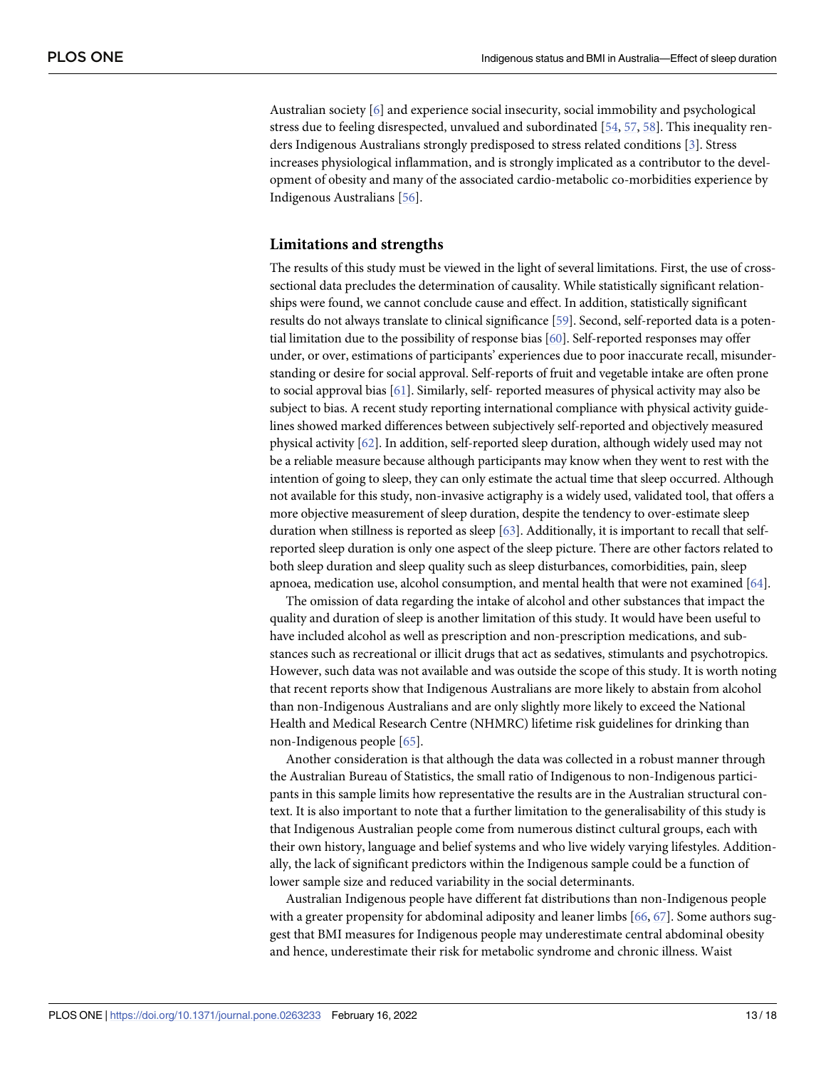<span id="page-13-0"></span>Australian society [[6\]](#page-15-0) and experience social insecurity, social immobility and psychological stress due to feeling disrespected, unvalued and subordinated [[54](#page-17-0), [57](#page-17-0), [58](#page-17-0)]. This inequality renders Indigenous Australians strongly predisposed to stress related conditions [[3](#page-15-0)]. Stress increases physiological inflammation, and is strongly implicated as a contributor to the development of obesity and many of the associated cardio-metabolic co-morbidities experience by Indigenous Australians [\[56\]](#page-17-0).

#### **Limitations and strengths**

The results of this study must be viewed in the light of several limitations. First, the use of crosssectional data precludes the determination of causality. While statistically significant relationships were found, we cannot conclude cause and effect. In addition, statistically significant results do not always translate to clinical significance [\[59\]](#page-17-0). Second, self-reported data is a potential limitation due to the possibility of response bias [\[60\]](#page-17-0). Self-reported responses may offer under, or over, estimations of participants' experiences due to poor inaccurate recall, misunderstanding or desire for social approval. Self-reports of fruit and vegetable intake are often prone to social approval bias [\[61](#page-17-0)]. Similarly, self- reported measures of physical activity may also be subject to bias. A recent study reporting international compliance with physical activity guidelines showed marked differences between subjectively self-reported and objectively measured physical activity [\[62\]](#page-17-0). In addition, self-reported sleep duration, although widely used may not be a reliable measure because although participants may know when they went to rest with the intention of going to sleep, they can only estimate the actual time that sleep occurred. Although not available for this study, non-invasive actigraphy is a widely used, validated tool, that offers a more objective measurement of sleep duration, despite the tendency to over-estimate sleep duration when stillness is reported as sleep [\[63](#page-18-0)]. Additionally, it is important to recall that selfreported sleep duration is only one aspect of the sleep picture. There are other factors related to both sleep duration and sleep quality such as sleep disturbances, comorbidities, pain, sleep apnoea, medication use, alcohol consumption, and mental health that were not examined [\[64\]](#page-18-0).

The omission of data regarding the intake of alcohol and other substances that impact the quality and duration of sleep is another limitation of this study. It would have been useful to have included alcohol as well as prescription and non-prescription medications, and substances such as recreational or illicit drugs that act as sedatives, stimulants and psychotropics. However, such data was not available and was outside the scope of this study. It is worth noting that recent reports show that Indigenous Australians are more likely to abstain from alcohol than non-Indigenous Australians and are only slightly more likely to exceed the National Health and Medical Research Centre (NHMRC) lifetime risk guidelines for drinking than non-Indigenous people [[65](#page-18-0)].

Another consideration is that although the data was collected in a robust manner through the Australian Bureau of Statistics, the small ratio of Indigenous to non-Indigenous participants in this sample limits how representative the results are in the Australian structural context. It is also important to note that a further limitation to the generalisability of this study is that Indigenous Australian people come from numerous distinct cultural groups, each with their own history, language and belief systems and who live widely varying lifestyles. Additionally, the lack of significant predictors within the Indigenous sample could be a function of lower sample size and reduced variability in the social determinants.

Australian Indigenous people have different fat distributions than non-Indigenous people with a greater propensity for abdominal adiposity and leaner limbs [[66](#page-18-0), [67\]](#page-18-0). Some authors suggest that BMI measures for Indigenous people may underestimate central abdominal obesity and hence, underestimate their risk for metabolic syndrome and chronic illness. Waist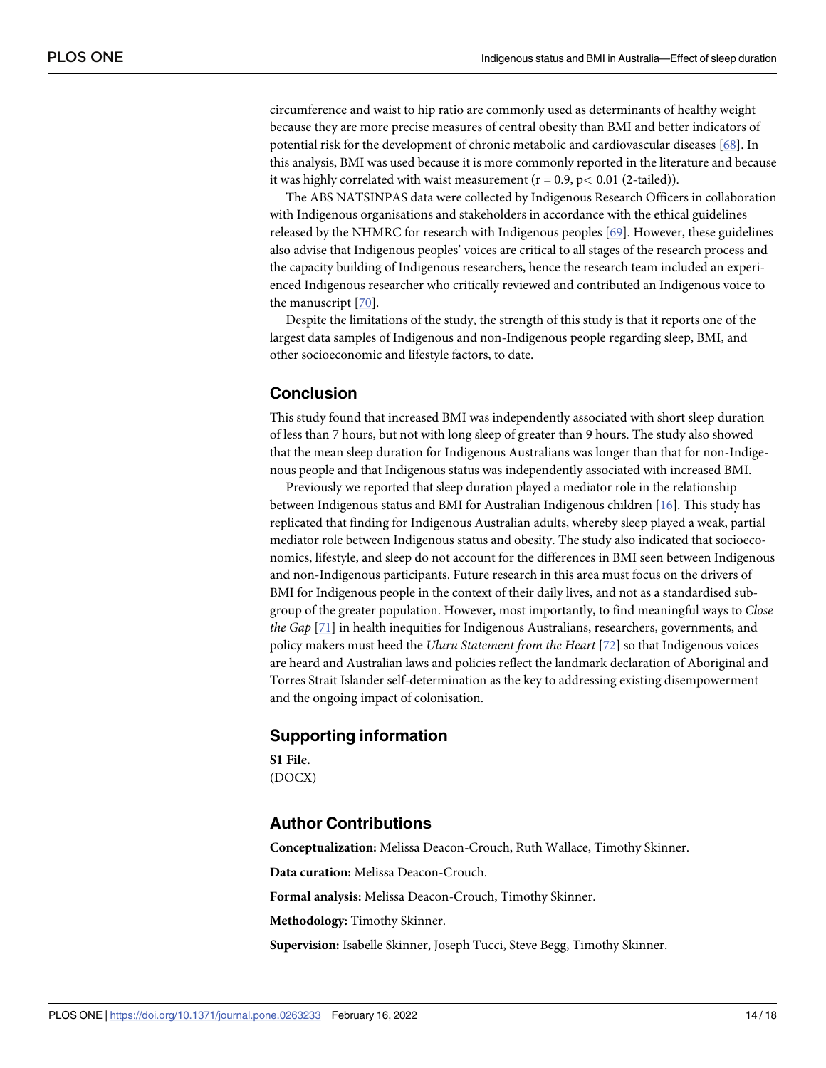<span id="page-14-0"></span>circumference and waist to hip ratio are commonly used as determinants of healthy weight because they are more precise measures of central obesity than BMI and better indicators of potential risk for the development of chronic metabolic and cardiovascular diseases [\[68\]](#page-18-0). In this analysis, BMI was used because it is more commonly reported in the literature and because it was highly correlated with waist measurement  $(r = 0.9, p < 0.01$  (2-tailed)).

The ABS NATSINPAS data were collected by Indigenous Research Officers in collaboration with Indigenous organisations and stakeholders in accordance with the ethical guidelines released by the NHMRC for research with Indigenous peoples [\[69\]](#page-18-0). However, these guidelines also advise that Indigenous peoples' voices are critical to all stages of the research process and the capacity building of Indigenous researchers, hence the research team included an experienced Indigenous researcher who critically reviewed and contributed an Indigenous voice to the manuscript [\[70](#page-18-0)].

Despite the limitations of the study, the strength of this study is that it reports one of the largest data samples of Indigenous and non-Indigenous people regarding sleep, BMI, and other socioeconomic and lifestyle factors, to date.

## **Conclusion**

This study found that increased BMI was independently associated with short sleep duration of less than 7 hours, but not with long sleep of greater than 9 hours. The study also showed that the mean sleep duration for Indigenous Australians was longer than that for non-Indigenous people and that Indigenous status was independently associated with increased BMI.

Previously we reported that sleep duration played a mediator role in the relationship between Indigenous status and BMI for Australian Indigenous children [\[16\]](#page-15-0). This study has replicated that finding for Indigenous Australian adults, whereby sleep played a weak, partial mediator role between Indigenous status and obesity. The study also indicated that socioeconomics, lifestyle, and sleep do not account for the differences in BMI seen between Indigenous and non-Indigenous participants. Future research in this area must focus on the drivers of BMI for Indigenous people in the context of their daily lives, and not as a standardised subgroup of the greater population. However, most importantly, to find meaningful ways to *Close the Gap* [\[71\]](#page-18-0) in health inequities for Indigenous Australians, researchers, governments, and policy makers must heed the *Uluru Statement from the Heart* [\[72\]](#page-18-0) so that Indigenous voices are heard and Australian laws and policies reflect the landmark declaration of Aboriginal and Torres Strait Islander self-determination as the key to addressing existing disempowerment and the ongoing impact of colonisation.

#### **Supporting information**

**S1 [File.](http://www.plosone.org/article/fetchSingleRepresentation.action?uri=info:doi/10.1371/journal.pone.0263233.s001)** (DOCX)

#### **Author Contributions**

**Conceptualization:** Melissa Deacon-Crouch, Ruth Wallace, Timothy Skinner. **Data curation:** Melissa Deacon-Crouch. **Formal analysis:** Melissa Deacon-Crouch, Timothy Skinner. **Methodology:** Timothy Skinner. **Supervision:** Isabelle Skinner, Joseph Tucci, Steve Begg, Timothy Skinner.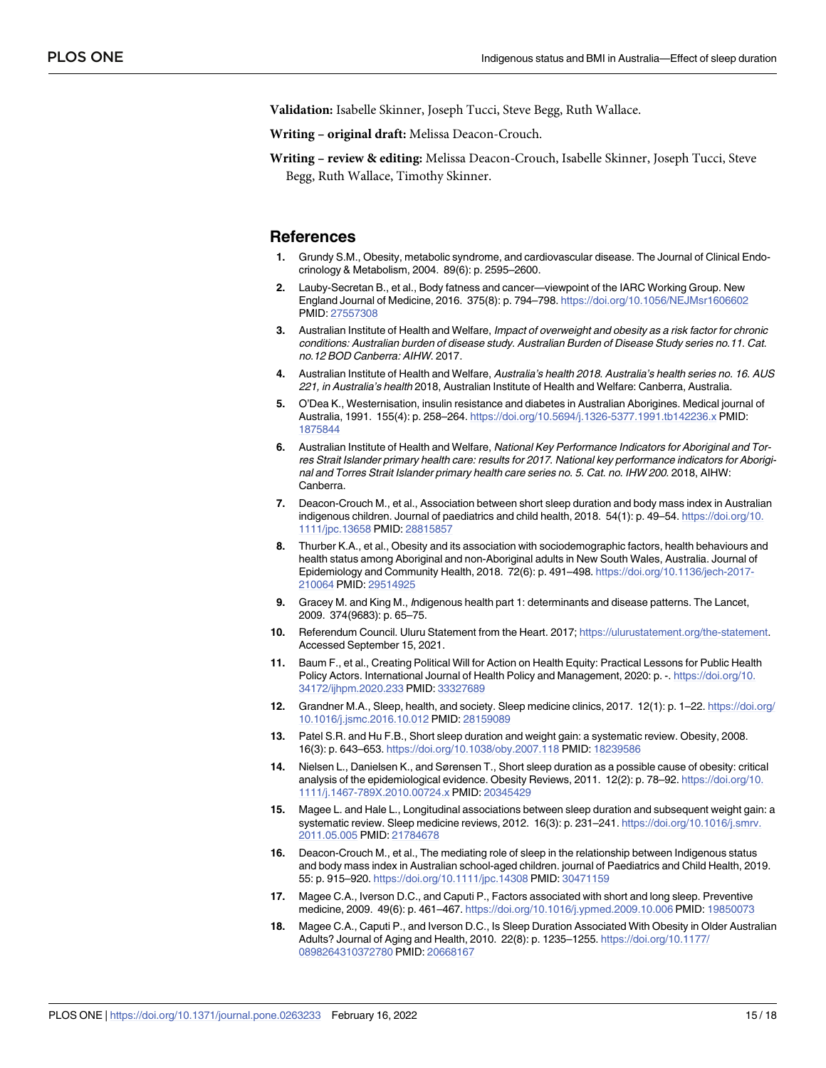<span id="page-15-0"></span>**Validation:** Isabelle Skinner, Joseph Tucci, Steve Begg, Ruth Wallace.

**Writing – original draft:** Melissa Deacon-Crouch.

**Writing – review & editing:** Melissa Deacon-Crouch, Isabelle Skinner, Joseph Tucci, Steve Begg, Ruth Wallace, Timothy Skinner.

#### **References**

- **[1](#page-10-0).** Grundy S.M., Obesity, metabolic syndrome, and cardiovascular disease. The Journal of Clinical Endocrinology & Metabolism, 2004. 89(6): p. 2595–2600.
- **[2](#page-10-0).** Lauby-Secretan B., et al., Body fatness and cancer—viewpoint of the IARC Working Group. New England Journal of Medicine, 2016. 375(8): p. 794–798. <https://doi.org/10.1056/NEJMsr1606602> PMID: [27557308](http://www.ncbi.nlm.nih.gov/pubmed/27557308)
- **[3](#page-3-0).** Australian Institute of Health and Welfare, Impact of overweight and obesity as a risk factor for chronic conditions: Australian burden of disease study. Australian Burden of Disease Study series no.11. Cat. no.12 BOD Canberra: AIHW. 2017.
- **[4](#page-2-0).** Australian Institute of Health and Welfare, Australia's health 2018. Australia's health series no. 16. AUS 221, in Australia's health 2018, Australian Institute of Health and Welfare: Canberra, Australia.
- **[5](#page-2-0).** O'Dea K., Westernisation, insulin resistance and diabetes in Australian Aborigines. Medical journal of Australia, 1991. 155(4): p. 258–264. <https://doi.org/10.5694/j.1326-5377.1991.tb142236.x> PMID: [1875844](http://www.ncbi.nlm.nih.gov/pubmed/1875844)
- **[6](#page-2-0).** Australian Institute of Health and Welfare, National Key Performance Indicators for Aboriginal and Torres Strait Islander primary health care: results for 2017. National key performance indicators for Aboriginal and Torres Strait Islander primary health care series no. 5. Cat. no. IHW 200. 2018, AIHW: Canberra.
- **[7](#page-2-0).** Deacon-Crouch M., et al., Association between short sleep duration and body mass index in Australian indigenous children. Journal of paediatrics and child health, 2018. 54(1): p. 49–54. [https://doi.org/10.](https://doi.org/10.1111/jpc.13658) [1111/jpc.13658](https://doi.org/10.1111/jpc.13658) PMID: [28815857](http://www.ncbi.nlm.nih.gov/pubmed/28815857)
- **[8](#page-12-0).** Thurber K.A., et al., Obesity and its association with sociodemographic factors, health behaviours and health status among Aboriginal and non-Aboriginal adults in New South Wales, Australia. Journal of Epidemiology and Community Health, 2018. 72(6): p. 491–498. [https://doi.org/10.1136/jech-2017-](https://doi.org/10.1136/jech-2017-210064) [210064](https://doi.org/10.1136/jech-2017-210064) PMID: [29514925](http://www.ncbi.nlm.nih.gov/pubmed/29514925)
- **[9](#page-2-0).** Gracey M. and King M., Indigenous health part 1: determinants and disease patterns. The Lancet, 2009. 374(9683): p. 65–75.
- **[10](#page-2-0).** Referendum Council. Uluru Statement from the Heart. 2017; <https://ulurustatement.org/the-statement>. Accessed September 15, 2021.
- **[11](#page-2-0).** Baum F., et al., Creating Political Will for Action on Health Equity: Practical Lessons for Public Health Policy Actors. International Journal of Health Policy and Management, 2020: p. -. [https://doi.org/10.](https://doi.org/10.34172/ijhpm.2020.233) [34172/ijhpm.2020.233](https://doi.org/10.34172/ijhpm.2020.233) PMID: [33327689](http://www.ncbi.nlm.nih.gov/pubmed/33327689)
- **[12](#page-2-0).** Grandner M.A., Sleep, health, and society. Sleep medicine clinics, 2017. 12(1): p. 1–22. [https://doi.org/](https://doi.org/10.1016/j.jsmc.2016.10.012) [10.1016/j.jsmc.2016.10.012](https://doi.org/10.1016/j.jsmc.2016.10.012) PMID: [28159089](http://www.ncbi.nlm.nih.gov/pubmed/28159089)
- **[13](#page-2-0).** Patel S.R. and Hu F.B., Short sleep duration and weight gain: a systematic review. Obesity, 2008. 16(3): p. 643–653. <https://doi.org/10.1038/oby.2007.118> PMID: [18239586](http://www.ncbi.nlm.nih.gov/pubmed/18239586)
- **14.** Nielsen L., Danielsen K., and Sørensen T., Short sleep duration as a possible cause of obesity: critical analysis of the epidemiological evidence. Obesity Reviews, 2011. 12(2): p. 78–92. [https://doi.org/10.](https://doi.org/10.1111/j.1467-789X.2010.00724.x) [1111/j.1467-789X.2010.00724.x](https://doi.org/10.1111/j.1467-789X.2010.00724.x) PMID: [20345429](http://www.ncbi.nlm.nih.gov/pubmed/20345429)
- **[15](#page-2-0).** Magee L. and Hale L., Longitudinal associations between sleep duration and subsequent weight gain: a systematic review. Sleep medicine reviews, 2012. 16(3): p. 231-241. [https://doi.org/10.1016/j.smrv.](https://doi.org/10.1016/j.smrv.2011.05.005) [2011.05.005](https://doi.org/10.1016/j.smrv.2011.05.005) PMID: [21784678](http://www.ncbi.nlm.nih.gov/pubmed/21784678)
- **[16](#page-14-0).** Deacon-Crouch M., et al., The mediating role of sleep in the relationship between Indigenous status and body mass index in Australian school-aged children. journal of Paediatrics and Child Health, 2019. 55: p. 915–920. <https://doi.org/10.1111/jpc.14308> PMID: [30471159](http://www.ncbi.nlm.nih.gov/pubmed/30471159)
- **[17](#page-10-0).** Magee C.A., Iverson D.C., and Caputi P., Factors associated with short and long sleep. Preventive medicine, 2009. 49(6): p. 461–467. <https://doi.org/10.1016/j.ypmed.2009.10.006> PMID: [19850073](http://www.ncbi.nlm.nih.gov/pubmed/19850073)
- **[18](#page-2-0).** Magee C.A., Caputi P., and Iverson D.C., Is Sleep Duration Associated With Obesity in Older Australian Adults? Journal of Aging and Health, 2010. 22(8): p. 1235–1255. [https://doi.org/10.1177/](https://doi.org/10.1177/0898264310372780) [0898264310372780](https://doi.org/10.1177/0898264310372780) PMID: [20668167](http://www.ncbi.nlm.nih.gov/pubmed/20668167)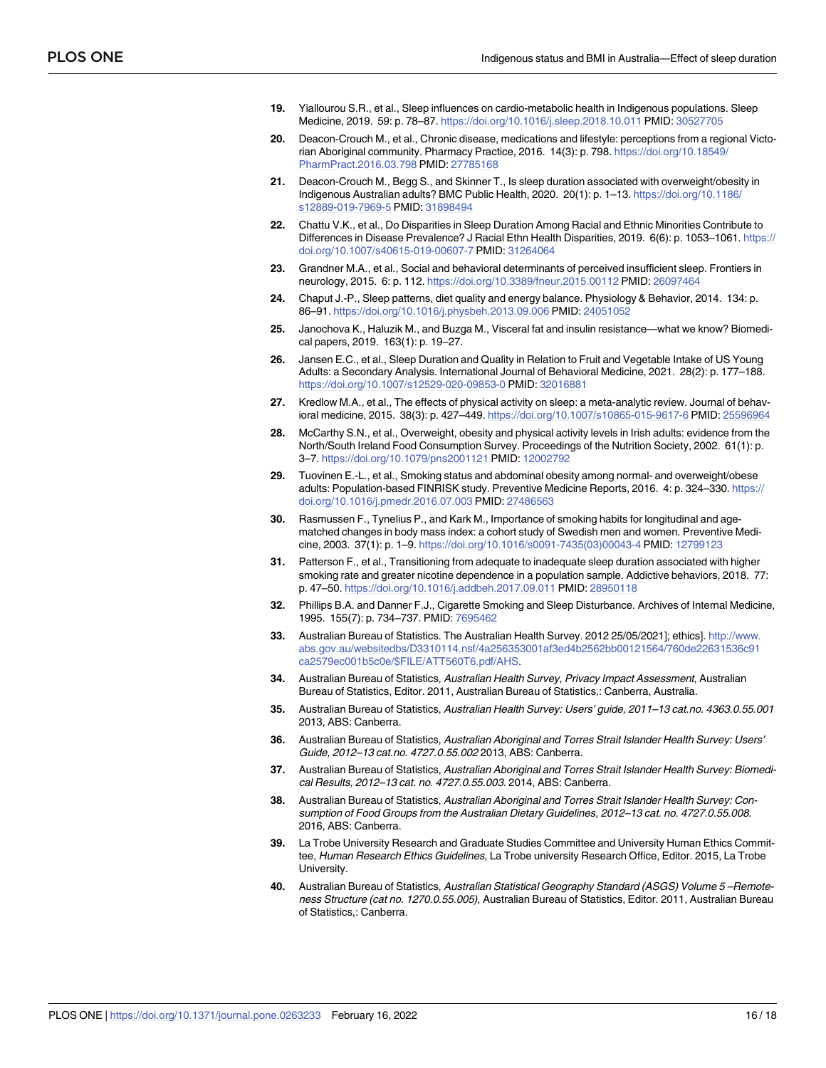- <span id="page-16-0"></span>**[19](#page-2-0).** Yiallourou S.R., et al., Sleep influences on cardio-metabolic health in Indigenous populations. Sleep Medicine, 2019. 59: p. 78–87. <https://doi.org/10.1016/j.sleep.2018.10.011> PMID: [30527705](http://www.ncbi.nlm.nih.gov/pubmed/30527705)
- **[20](#page-2-0).** Deacon-Crouch M., et al., Chronic disease, medications and lifestyle: perceptions from a regional Victorian Aboriginal community. Pharmacy Practice, 2016. 14(3): p. 798. [https://doi.org/10.18549/](https://doi.org/10.18549/PharmPract.2016.03.798) [PharmPract.2016.03.798](https://doi.org/10.18549/PharmPract.2016.03.798) PMID: [27785168](http://www.ncbi.nlm.nih.gov/pubmed/27785168)
- **[21](#page-2-0).** Deacon-Crouch M., Begg S., and Skinner T., Is sleep duration associated with overweight/obesity in Indigenous Australian adults? BMC Public Health, 2020. 20(1): p. 1–13. [https://doi.org/10.1186/](https://doi.org/10.1186/s12889-019-7969-5) [s12889-019-7969-5](https://doi.org/10.1186/s12889-019-7969-5) PMID: [31898494](http://www.ncbi.nlm.nih.gov/pubmed/31898494)
- **[22](#page-3-0).** Chattu V.K., et al., Do Disparities in Sleep Duration Among Racial and Ethnic Minorities Contribute to Differences in Disease Prevalence? J Racial Ethn Health Disparities, 2019. 6(6): p. 1053-1061. [https://](https://doi.org/10.1007/s40615-019-00607-7) [doi.org/10.1007/s40615-019-00607-7](https://doi.org/10.1007/s40615-019-00607-7) PMID: [31264064](http://www.ncbi.nlm.nih.gov/pubmed/31264064)
- **[23](#page-3-0).** Grandner M.A., et al., Social and behavioral determinants of perceived insufficient sleep. Frontiers in neurology, 2015. 6: p. 112. <https://doi.org/10.3389/fneur.2015.00112> PMID: [26097464](http://www.ncbi.nlm.nih.gov/pubmed/26097464)
- **[24](#page-3-0).** Chaput J.-P., Sleep patterns, diet quality and energy balance. Physiology & Behavior, 2014. 134: p. 86–91. <https://doi.org/10.1016/j.physbeh.2013.09.006> PMID: [24051052](http://www.ncbi.nlm.nih.gov/pubmed/24051052)
- **[25](#page-3-0).** Janochova K., Haluzik M., and Buzga M., Visceral fat and insulin resistance—what we know? Biomedical papers, 2019. 163(1): p. 19–27.
- **[26](#page-3-0).** Jansen E.C., et al., Sleep Duration and Quality in Relation to Fruit and Vegetable Intake of US Young Adults: a Secondary Analysis. International Journal of Behavioral Medicine, 2021. 28(2): p. 177–188. <https://doi.org/10.1007/s12529-020-09853-0> PMID: [32016881](http://www.ncbi.nlm.nih.gov/pubmed/32016881)
- **[27](#page-3-0).** Kredlow M.A., et al., The effects of physical activity on sleep: a meta-analytic review. Journal of behavioral medicine, 2015. 38(3): p. 427–449. <https://doi.org/10.1007/s10865-015-9617-6> PMID: [25596964](http://www.ncbi.nlm.nih.gov/pubmed/25596964)
- **[28](#page-3-0).** McCarthy S.N., et al., Overweight, obesity and physical activity levels in Irish adults: evidence from the North/South Ireland Food Consumption Survey. Proceedings of the Nutrition Society, 2002. 61(1): p. 3–7. <https://doi.org/10.1079/pns2001121> PMID: [12002792](http://www.ncbi.nlm.nih.gov/pubmed/12002792)
- **[29](#page-3-0).** Tuovinen E.-L., et al., Smoking status and abdominal obesity among normal- and overweight/obese adults: Population-based FINRISK study. Preventive Medicine Reports, 2016. 4: p. 324–330. [https://](https://doi.org/10.1016/j.pmedr.2016.07.003) [doi.org/10.1016/j.pmedr.2016.07.003](https://doi.org/10.1016/j.pmedr.2016.07.003) PMID: [27486563](http://www.ncbi.nlm.nih.gov/pubmed/27486563)
- **[30](#page-3-0).** Rasmussen F., Tynelius P., and Kark M., Importance of smoking habits for longitudinal and agematched changes in body mass index: a cohort study of Swedish men and women. Preventive Medicine, 2003. 37(1): p. 1–9. [https://doi.org/10.1016/s0091-7435\(03\)00043-4](https://doi.org/10.1016/s0091-7435%2803%2900043-4) PMID: [12799123](http://www.ncbi.nlm.nih.gov/pubmed/12799123)
- **[31](#page-3-0).** Patterson F., et al., Transitioning from adequate to inadequate sleep duration associated with higher smoking rate and greater nicotine dependence in a population sample. Addictive behaviors, 2018. 77: p. 47–50. <https://doi.org/10.1016/j.addbeh.2017.09.011> PMID: [28950118](http://www.ncbi.nlm.nih.gov/pubmed/28950118)
- **[32](#page-3-0).** Phillips B.A. and Danner F.J., Cigarette Smoking and Sleep Disturbance. Archives of Internal Medicine, 1995. 155(7): p. 734–737. PMID: [7695462](http://www.ncbi.nlm.nih.gov/pubmed/7695462)
- **[33](#page-3-0).** Australian Bureau of Statistics. The Australian Health Survey. 2012 25/05/2021]; ethics]. [http://www.](http://www.abs.gov.au/websitedbs/D3310114.nsf/4a256353001af3ed4b2562bb00121564/760de22631536c91ca2579ec001b5c0e/$FILE/ATT560T6.pdf/AHS) [abs.gov.au/websitedbs/D3310114.nsf/4a256353001af3ed4b2562bb00121564/760de22631536c91](http://www.abs.gov.au/websitedbs/D3310114.nsf/4a256353001af3ed4b2562bb00121564/760de22631536c91ca2579ec001b5c0e/$FILE/ATT560T6.pdf/AHS) [ca2579ec001b5c0e/\\$FILE/ATT560T6.pdf/AHS](http://www.abs.gov.au/websitedbs/D3310114.nsf/4a256353001af3ed4b2562bb00121564/760de22631536c91ca2579ec001b5c0e/$FILE/ATT560T6.pdf/AHS).
- **[34](#page-3-0).** Australian Bureau of Statistics, Australian Health Survey, Privacy Impact Assessment, Australian Bureau of Statistics, Editor. 2011, Australian Bureau of Statistics,: Canberra, Australia.
- **[35](#page-3-0).** Australian Bureau of Statistics, Australian Health Survey: Users' guide, 2011–13 cat.no. 4363.0.55.001 2013, ABS: Canberra.
- **[36](#page-3-0).** Australian Bureau of Statistics, Australian Aboriginal and Torres Strait Islander Health Survey: Users' Guide, 2012–13 cat.no. 4727.0.55.002 2013, ABS: Canberra.
- **[37](#page-3-0).** Australian Bureau of Statistics, Australian Aboriginal and Torres Strait Islander Health Survey: Biomedical Results, 2012–13 cat. no. 4727.0.55.003. 2014, ABS: Canberra.
- **[38](#page-3-0).** Australian Bureau of Statistics, Australian Aboriginal and Torres Strait Islander Health Survey: Consumption of Food Groups from the Australian Dietary Guidelines, 2012–13 cat. no. 4727.0.55.008. 2016, ABS: Canberra.
- **[39](#page-4-0).** La Trobe University Research and Graduate Studies Committee and University Human Ethics Committee, Human Research Ethics Guidelines, La Trobe university Research Office, Editor. 2015, La Trobe University.
- **[40](#page-4-0).** Australian Bureau of Statistics, Australian Statistical Geography Standard (ASGS) Volume 5 –Remoteness Structure (cat no. 1270.0.55.005), Australian Bureau of Statistics, Editor. 2011, Australian Bureau of Statistics,: Canberra.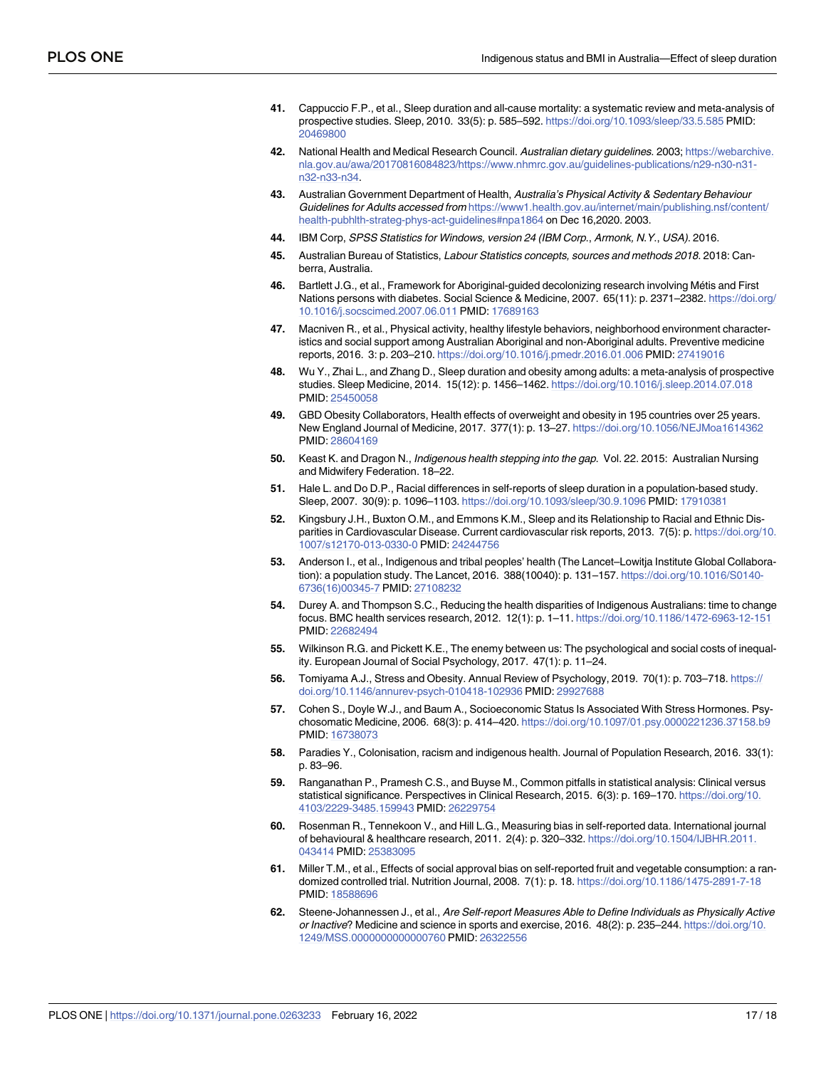- <span id="page-17-0"></span>**[41](#page-4-0).** Cappuccio F.P., et al., Sleep duration and all-cause mortality: a systematic review and meta-analysis of prospective studies. Sleep, 2010. 33(5): p. 585–592. <https://doi.org/10.1093/sleep/33.5.585> PMID: [20469800](http://www.ncbi.nlm.nih.gov/pubmed/20469800)
- **[42](#page-4-0).** National Health and Medical Research Council. Australian dietary guidelines. 2003; [https://webarchive.](https://webarchive.nla.gov.au/awa/20170816084823/https://www.nhmrc.gov.au/guidelines-publications/n29-n30-n31-n32-n33-n34) [nla.gov.au/awa/20170816084823/https://www.nhmrc.gov.au/guidelines-publications/n29-n30-n31](https://webarchive.nla.gov.au/awa/20170816084823/https://www.nhmrc.gov.au/guidelines-publications/n29-n30-n31-n32-n33-n34) [n32-n33-n34](https://webarchive.nla.gov.au/awa/20170816084823/https://www.nhmrc.gov.au/guidelines-publications/n29-n30-n31-n32-n33-n34).
- **[43](#page-4-0).** Australian Government Department of Health, Australia's Physical Activity & Sedentary Behaviour Guidelines for Adults accessed from [https://www1.health.gov.au/internet/main/publishing.nsf/content/](https://www1.health.gov.au/internet/main/publishing.nsf/content/health-pubhlth-strateg-phys-act-guidelines#npa1864) [health-pubhlth-strateg-phys-act-guidelines#npa1864](https://www1.health.gov.au/internet/main/publishing.nsf/content/health-pubhlth-strateg-phys-act-guidelines#npa1864) on Dec 16,2020. 2003.
- **[44](#page-5-0).** IBM Corp, SPSS Statistics for Windows, version 24 (IBM Corp., Armonk, N.Y., USA). 2016.
- **[45](#page-5-0).** Australian Bureau of Statistics, Labour Statistics concepts, sources and methods 2018. 2018: Canberra, Australia.
- **[46](#page-10-0).** Bartlett J.G., et al., Framework for Aboriginal-guided decolonizing research involving Métis and First Nations persons with diabetes. Social Science & Medicine, 2007. 65(11): p. 2371–2382. [https://doi.org/](https://doi.org/10.1016/j.socscimed.2007.06.011) [10.1016/j.socscimed.2007.06.011](https://doi.org/10.1016/j.socscimed.2007.06.011) PMID: [17689163](http://www.ncbi.nlm.nih.gov/pubmed/17689163)
- **[47](#page-10-0).** Macniven R., et al., Physical activity, healthy lifestyle behaviors, neighborhood environment characteristics and social support among Australian Aboriginal and non-Aboriginal adults. Preventive medicine reports, 2016. 3: p. 203–210. <https://doi.org/10.1016/j.pmedr.2016.01.006> PMID: [27419016](http://www.ncbi.nlm.nih.gov/pubmed/27419016)
- **[48](#page-10-0).** Wu Y., Zhai L., and Zhang D., Sleep duration and obesity among adults: a meta-analysis of prospective studies. Sleep Medicine, 2014. 15(12): p. 1456–1462. <https://doi.org/10.1016/j.sleep.2014.07.018> PMID: [25450058](http://www.ncbi.nlm.nih.gov/pubmed/25450058)
- **[49](#page-10-0).** GBD Obesity Collaborators, Health effects of overweight and obesity in 195 countries over 25 years. New England Journal of Medicine, 2017. 377(1): p. 13–27. <https://doi.org/10.1056/NEJMoa1614362> PMID: [28604169](http://www.ncbi.nlm.nih.gov/pubmed/28604169)
- **[50](#page-10-0).** Keast K. and Dragon N., Indigenous health stepping into the gap. Vol. 22. 2015: Australian Nursing and Midwifery Federation. 18–22.
- **[51](#page-10-0).** Hale L. and Do D.P., Racial differences in self-reports of sleep duration in a population-based study. Sleep, 2007. 30(9): p. 1096–1103. <https://doi.org/10.1093/sleep/30.9.1096> PMID: [17910381](http://www.ncbi.nlm.nih.gov/pubmed/17910381)
- **[52](#page-10-0).** Kingsbury J.H., Buxton O.M., and Emmons K.M., Sleep and its Relationship to Racial and Ethnic Disparities in Cardiovascular Disease. Current cardiovascular risk reports, 2013. 7(5): p. [https://doi.org/10.](https://doi.org/10.1007/s12170-013-0330-0) [1007/s12170-013-0330-0](https://doi.org/10.1007/s12170-013-0330-0) PMID: [24244756](http://www.ncbi.nlm.nih.gov/pubmed/24244756)
- **[53](#page-12-0).** Anderson I., et al., Indigenous and tribal peoples' health (The Lancet–Lowitja Institute Global Collaboration): a population study. The Lancet, 2016. 388(10040): p. 131–157. [https://doi.org/10.1016/S0140-](https://doi.org/10.1016/S0140-6736%2816%2900345-7) [6736\(16\)00345-7](https://doi.org/10.1016/S0140-6736%2816%2900345-7) PMID: [27108232](http://www.ncbi.nlm.nih.gov/pubmed/27108232)
- **[54](#page-12-0).** Durey A. and Thompson S.C., Reducing the health disparities of Indigenous Australians: time to change focus. BMC health services research, 2012. 12(1): p. 1–11. <https://doi.org/10.1186/1472-6963-12-151> PMID: [22682494](http://www.ncbi.nlm.nih.gov/pubmed/22682494)
- **[55](#page-12-0).** Wilkinson R.G. and Pickett K.E., The enemy between us: The psychological and social costs of inequality. European Journal of Social Psychology, 2017. 47(1): p. 11–24.
- **[56](#page-13-0).** Tomiyama A.J., Stress and Obesity. Annual Review of Psychology, 2019. 70(1): p. 703–718. [https://](https://doi.org/10.1146/annurev-psych-010418-102936) [doi.org/10.1146/annurev-psych-010418-102936](https://doi.org/10.1146/annurev-psych-010418-102936) PMID: [29927688](http://www.ncbi.nlm.nih.gov/pubmed/29927688)
- **[57](#page-13-0).** Cohen S., Doyle W.J., and Baum A., Socioeconomic Status Is Associated With Stress Hormones. Psychosomatic Medicine, 2006. 68(3): p. 414–420. <https://doi.org/10.1097/01.psy.0000221236.37158.b9> PMID: [16738073](http://www.ncbi.nlm.nih.gov/pubmed/16738073)
- **[58](#page-13-0).** Paradies Y., Colonisation, racism and indigenous health. Journal of Population Research, 2016. 33(1): p. 83–96.
- **[59](#page-13-0).** Ranganathan P., Pramesh C.S., and Buyse M., Common pitfalls in statistical analysis: Clinical versus statistical significance. Perspectives in Clinical Research, 2015. 6(3): p. 169–170. [https://doi.org/10.](https://doi.org/10.4103/2229-3485.159943) [4103/2229-3485.159943](https://doi.org/10.4103/2229-3485.159943) PMID: [26229754](http://www.ncbi.nlm.nih.gov/pubmed/26229754)
- **[60](#page-13-0).** Rosenman R., Tennekoon V., and Hill L.G., Measuring bias in self-reported data. International journal of behavioural & healthcare research, 2011. 2(4): p. 320–332. [https://doi.org/10.1504/IJBHR.2011.](https://doi.org/10.1504/IJBHR.2011.043414) [043414](https://doi.org/10.1504/IJBHR.2011.043414) PMID: [25383095](http://www.ncbi.nlm.nih.gov/pubmed/25383095)
- **[61](#page-13-0).** Miller T.M., et al., Effects of social approval bias on self-reported fruit and vegetable consumption: a randomized controlled trial. Nutrition Journal, 2008. 7(1): p. 18. <https://doi.org/10.1186/1475-2891-7-18> PMID: [18588696](http://www.ncbi.nlm.nih.gov/pubmed/18588696)
- **[62](#page-13-0).** Steene-Johannessen J., et al., Are Self-report Measures Able to Define Individuals as Physically Active or Inactive? Medicine and science in sports and exercise, 2016. 48(2): p. 235–244. [https://doi.org/10.](https://doi.org/10.1249/MSS.0000000000000760) [1249/MSS.0000000000000760](https://doi.org/10.1249/MSS.0000000000000760) PMID: [26322556](http://www.ncbi.nlm.nih.gov/pubmed/26322556)